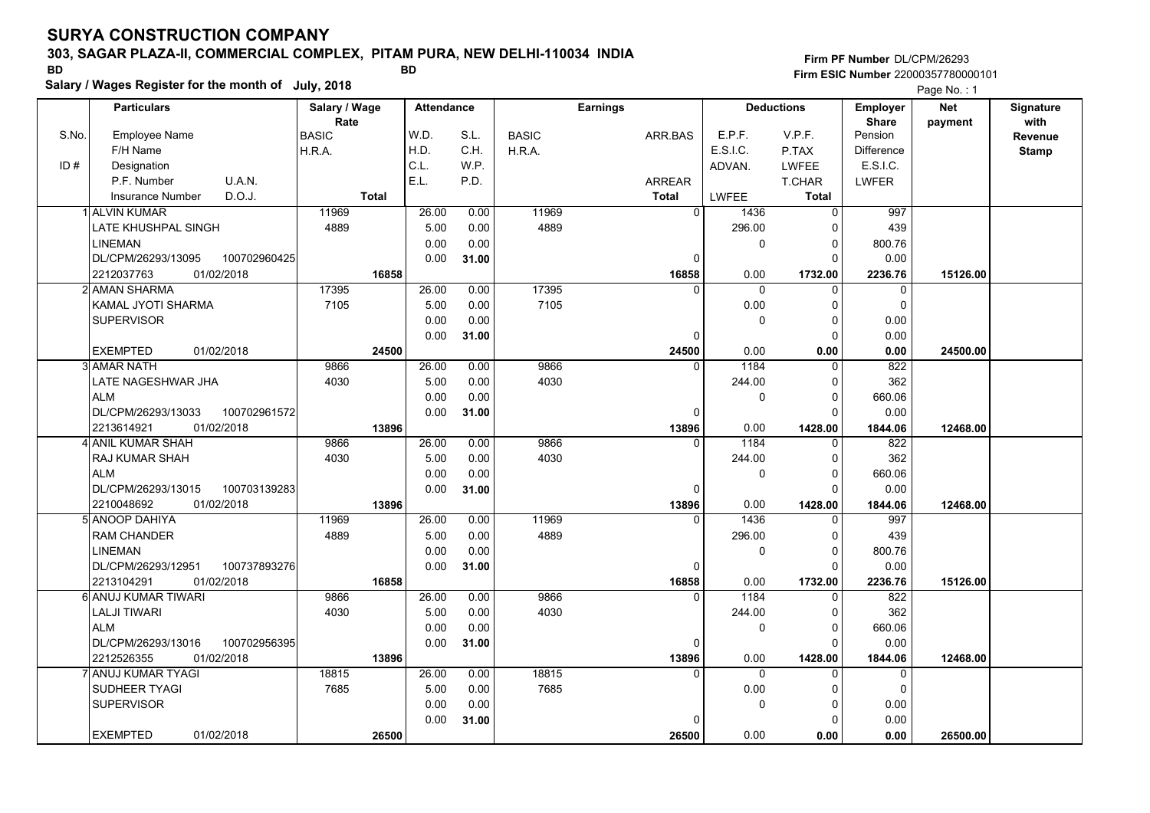## **303, SAGAR PLAZA-II, COMMERCIAL COMPLEX, PITAM PURA, NEW DELHI-110034 INDIA**

**Salary / Wages Register for the month of July, 2018 BD BD**

## **Firm PF Number**DL/CPM/26293**Firm ESIC Number** 22000357780000101

|       | <b>Particulars</b>                 | Salary / Wage        | <b>Attendance</b> |       | <b>Earnings</b> |                |             | <b>Deductions</b> | <b>Employer</b>         | <b>Net</b> | Signature               |
|-------|------------------------------------|----------------------|-------------------|-------|-----------------|----------------|-------------|-------------------|-------------------------|------------|-------------------------|
| S.No. | Employee Name                      | Rate<br><b>BASIC</b> | W.D.              | S.L.  | <b>BASIC</b>    | ARR.BAS        | E.P.F.      | V.P.F.            | <b>Share</b><br>Pension | payment    | with                    |
|       | F/H Name                           | H.R.A.               | H.D.              | C.H.  | H.R.A.          |                | E.S.I.C.    | P.TAX             | <b>Difference</b>       |            | Revenue<br><b>Stamp</b> |
| ID#   | Designation                        |                      | C.L.              | W.P.  |                 |                | ADVAN.      | LWFEE             | E.S.I.C.                |            |                         |
|       | U.A.N.<br>P.F. Number              |                      | E.L.              | P.D.  |                 | <b>ARREAR</b>  |             | T.CHAR            | LWFER                   |            |                         |
|       | D.O.J.<br>Insurance Number         | <b>Total</b>         |                   |       |                 | <b>Total</b>   | LWFEE       | <b>Total</b>      |                         |            |                         |
|       | 1 ALVIN KUMAR                      | 11969                | 26.00             | 0.00  | 11969           | $\overline{0}$ | 1436        | $\Omega$          | 997                     |            |                         |
|       | LATE KHUSHPAL SINGH                | 4889                 | 5.00              | 0.00  | 4889            |                | 296.00      | $\Omega$          | 439                     |            |                         |
|       | <b>LINEMAN</b>                     |                      | 0.00              | 0.00  |                 |                | 0           | 0                 | 800.76                  |            |                         |
|       | DL/CPM/26293/13095<br>100702960425 |                      | 0.00              | 31.00 |                 | 0              |             | $\Omega$          | 0.00                    |            |                         |
|       | 2212037763<br>01/02/2018           | 16858                |                   |       |                 | 16858          | 0.00        | 1732.00           | 2236.76                 | 15126.00   |                         |
|       | 2l AMAN SHARMA                     | 17395                | 26.00             | 0.00  | 17395           | $\Omega$       | $\Omega$    | $\Omega$          | $\mathbf 0$             |            |                         |
|       | KAMAL JYOTI SHARMA                 | 7105                 | 5.00              | 0.00  | 7105            |                | 0.00        | 0                 | $\mathbf 0$             |            |                         |
|       | <b>SUPERVISOR</b>                  |                      | 0.00              | 0.00  |                 |                | $\mathbf 0$ | 0                 | 0.00                    |            |                         |
|       |                                    |                      | 0.00              | 31.00 |                 | $\Omega$       |             | 0                 | 0.00                    |            |                         |
|       | <b>EXEMPTED</b><br>01/02/2018      | 24500                |                   |       |                 | 24500          | 0.00        | 0.00              | 0.00                    | 24500.00   |                         |
|       | 3 AMAR NATH                        | 9866                 | 26.00             | 0.00  | 9866            | $\Omega$       | 1184        | $\Omega$          | 822                     |            |                         |
|       | LATE NAGESHWAR JHA                 | 4030                 | 5.00              | 0.00  | 4030            |                | 244.00      | $\Omega$          | 362                     |            |                         |
|       | <b>ALM</b>                         |                      | 0.00              | 0.00  |                 |                | $\mathbf 0$ | $\Omega$          | 660.06                  |            |                         |
|       | DL/CPM/26293/13033<br>100702961572 |                      | 0.00              | 31.00 |                 | $\Omega$       |             | $\Omega$          | 0.00                    |            |                         |
|       | 01/02/2018<br>2213614921           | 13896                |                   |       |                 | 13896          | 0.00        | 1428.00           | 1844.06                 | 12468.00   |                         |
|       | 4 ANIL KUMAR SHAH                  | 9866                 | 26.00             | 0.00  | 9866            | ∩              | 1184        | 0                 | 822                     |            |                         |
|       | RAJ KUMAR SHAH                     | 4030                 | 5.00              | 0.00  | 4030            |                | 244.00      | $\Omega$          | 362                     |            |                         |
|       | <b>ALM</b>                         |                      | 0.00              | 0.00  |                 |                | $\mathbf 0$ | $\Omega$          | 660.06                  |            |                         |
|       | DL/CPM/26293/13015<br>100703139283 |                      | 0.00              | 31.00 |                 | $\Omega$       |             | $\Omega$          | 0.00                    |            |                         |
|       | 2210048692<br>01/02/2018           | 13896                |                   |       |                 | 13896          | 0.00        | 1428.00           | 1844.06                 | 12468.00   |                         |
|       | 5 ANOOP DAHIYA                     | 11969                | 26.00             | 0.00  | 11969           | $\Omega$       | 1436        | $\Omega$          | 997                     |            |                         |
|       | <b>RAM CHANDER</b>                 | 4889                 | 5.00              | 0.00  | 4889            |                | 296.00      | 0                 | 439                     |            |                         |
|       | <b>LINEMAN</b>                     |                      | 0.00              | 0.00  |                 |                | $\mathbf 0$ | $\Omega$          | 800.76                  |            |                         |
|       | 100737893276<br>DL/CPM/26293/12951 |                      | 0.00              | 31.00 |                 | $\Omega$       |             | $\Omega$          | 0.00                    |            |                         |
|       | 01/02/2018<br>2213104291           | 16858                |                   |       |                 | 16858          | 0.00        | 1732.00           | 2236.76                 | 15126.00   |                         |
|       | 6 ANUJ KUMAR TIWARI                | 9866                 | 26.00             | 0.00  | 9866            | $\mathbf{0}$   | 1184        | $\Omega$          | 822                     |            |                         |
|       | <b>LALJI TIWARI</b>                | 4030                 | 5.00              | 0.00  | 4030            |                | 244.00      | 0                 | 362                     |            |                         |
|       | <b>ALM</b>                         |                      | 0.00              | 0.00  |                 |                | 0           | 0                 | 660.06                  |            |                         |
|       | DL/CPM/26293/13016<br>100702956395 |                      | 0.00              | 31.00 |                 | $\Omega$       |             | $\Omega$          | 0.00                    |            |                         |
|       | 2212526355<br>01/02/2018           | 13896                |                   |       |                 | 13896          | 0.00        | 1428.00           | 1844.06                 | 12468.00   |                         |
|       | 'l ANUJ KUMAR TYAGI                | 18815                | 26.00             | 0.00  | 18815           |                | $\Omega$    | $\Omega$          | $\mathbf 0$             |            |                         |
|       | SUDHEER TYAGI                      | 7685                 | 5.00              | 0.00  | 7685            |                | 0.00        | $\Omega$          | $\mathbf 0$             |            |                         |
|       | <b>SUPERVISOR</b>                  |                      | 0.00              | 0.00  |                 |                | $\mathbf 0$ | 0                 | 0.00                    |            |                         |
|       |                                    |                      | 0.00              | 31.00 |                 |                |             | $\Omega$          | 0.00                    |            |                         |
|       | <b>EXEMPTED</b><br>01/02/2018      | 26500                |                   |       |                 | 26500          | 0.00        | 0.00              | 0.00                    | 26500.00   |                         |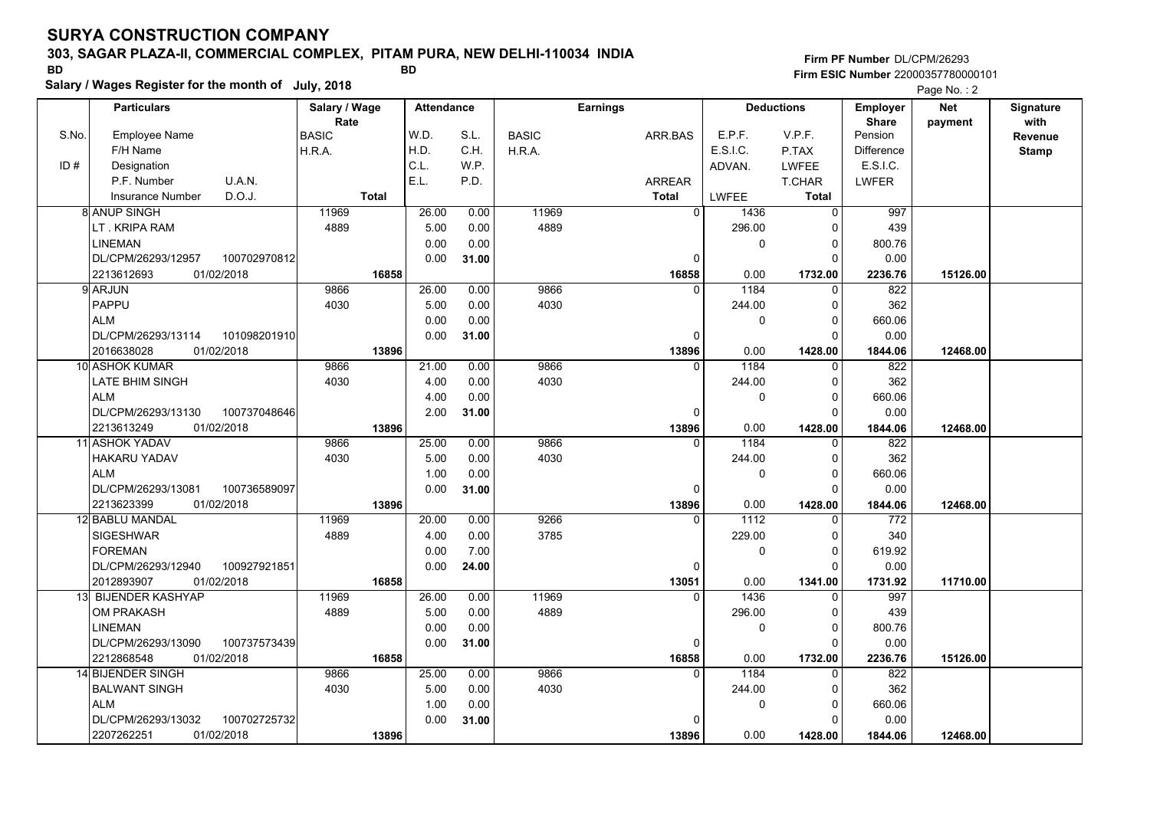### **303, SAGAR PLAZA-II, COMMERCIAL COMPLEX, PITAM PURA, NEW DELHI-110034 INDIA**

**Salary / Wages Register for the month of July, 2018 BD BD Firm PF Number**DL/CPM/26293**Firm ESIC Number** 22000357780000101

|       | <b>Particulars</b>                 | Salary / Wage<br>Rate | <b>Attendance</b> |       |              | <b>Earnings</b> |              | <b>Deductions</b> | Employer<br><b>Share</b> | <b>Net</b><br>payment | Signature<br>with |
|-------|------------------------------------|-----------------------|-------------------|-------|--------------|-----------------|--------------|-------------------|--------------------------|-----------------------|-------------------|
| S.No. | <b>Employee Name</b>               | <b>BASIC</b>          | W.D.              | S.L.  | <b>BASIC</b> | ARR.BAS         | E.P.F.       | V.P.F.            | Pension                  |                       | Revenue           |
|       | F/H Name                           | H.R.A.                | H.D.              | C.H.  | H.R.A.       |                 | E.S.I.C.     | P.TAX             | <b>Difference</b>        |                       | <b>Stamp</b>      |
| ID#   | Designation                        |                       | C.L.              | W.P.  |              |                 | ADVAN.       | LWFEE             | E.S.I.C.                 |                       |                   |
|       | U.A.N.<br>P.F. Number              |                       | E.L.              | P.D.  |              | <b>ARREAR</b>   |              | T.CHAR            | <b>LWFER</b>             |                       |                   |
|       | D.O.J.<br>Insurance Number         | <b>Total</b>          |                   |       |              | <b>Total</b>    | <b>LWFEE</b> | Total             |                          |                       |                   |
|       | 8 ANUP SINGH                       | 11969                 | 26.00             | 0.00  | 11969        | $\mathbf 0$     | 1436         | $\mathbf 0$       | 997                      |                       |                   |
|       | LT. KRIPA RAM                      | 4889                  | 5.00              | 0.00  | 4889         |                 | 296.00       | 0                 | 439                      |                       |                   |
|       | <b>LINEMAN</b>                     |                       | 0.00              | 0.00  |              |                 | 0            | $\pmb{0}$         | 800.76                   |                       |                   |
|       | DL/CPM/26293/12957<br>100702970812 |                       | 0.00              | 31.00 |              | $\Omega$        |              | $\Omega$          | 0.00                     |                       |                   |
|       | 2213612693<br>01/02/2018           | 16858                 |                   |       |              | 16858           | 0.00         | 1732.00           | 2236.76                  | 15126.00              |                   |
|       | 9 ARJUN                            | 9866                  | 26.00             | 0.00  | 9866         | $\Omega$        | 1184         | 0                 | 822                      |                       |                   |
|       | PAPPU                              | 4030                  | 5.00              | 0.00  | 4030         |                 | 244.00       | $\mathbf 0$       | 362                      |                       |                   |
|       | <b>ALM</b>                         |                       | 0.00              | 0.00  |              |                 | $\mathbf 0$  | $\mathbf 0$       | 660.06                   |                       |                   |
|       | DL/CPM/26293/13114<br>101098201910 |                       | 0.00              | 31.00 |              | 0               |              | $\mathbf 0$       | 0.00                     |                       |                   |
|       | 2016638028<br>01/02/2018           | 13896                 |                   |       |              | 13896           | 0.00         | 1428.00           | 1844.06                  | 12468.00              |                   |
|       | 10 ASHOK KUMAR                     | 9866                  | 21.00             | 0.00  | 9866         | $\mathbf{0}$    | 1184         | $\mathbf 0$       | 822                      |                       |                   |
|       | LATE BHIM SINGH                    | 4030                  | 4.00              | 0.00  | 4030         |                 | 244.00       | $\mathbf 0$       | 362                      |                       |                   |
|       | <b>ALM</b>                         |                       | 4.00              | 0.00  |              |                 | $\mathbf 0$  | $\mathbf 0$       | 660.06                   |                       |                   |
|       | DL/CPM/26293/13130<br>100737048646 |                       | 2.00              | 31.00 |              | $\Omega$        |              | $\Omega$          | 0.00                     |                       |                   |
|       | 2213613249<br>01/02/2018           | 13896                 |                   |       |              | 13896           | 0.00         | 1428.00           | 1844.06                  | 12468.00              |                   |
|       | 11 ASHOK YADAV                     | 9866                  | 25.00             | 0.00  | 9866         | 0               | 1184         | 0                 | 822                      |                       |                   |
|       | HAKARU YADAV                       | 4030                  | 5.00              | 0.00  | 4030         |                 | 244.00       | $\mathbf 0$       | 362                      |                       |                   |
|       | <b>ALM</b>                         |                       | 1.00              | 0.00  |              |                 | $\Omega$     | $\mathbf 0$       | 660.06                   |                       |                   |
|       | DL/CPM/26293/13081<br>100736589097 |                       | 0.00              | 31.00 |              | 0               |              | $\Omega$          | 0.00                     |                       |                   |
|       | 2213623399<br>01/02/2018           | 13896                 |                   |       |              | 13896           | 0.00         | 1428.00           | 1844.06                  | 12468.00              |                   |
|       | 12 BABLU MANDAL                    | 11969                 | 20.00             | 0.00  | 9266         | $\Omega$        | 1112         | $\Omega$          | 772                      |                       |                   |
|       | <b>SIGESHWAR</b>                   | 4889                  | 4.00              | 0.00  | 3785         |                 | 229.00       | $\mathbf 0$       | 340                      |                       |                   |
|       | <b>FOREMAN</b>                     |                       | 0.00              | 7.00  |              |                 | $\mathbf 0$  | $\mathbf 0$       | 619.92                   |                       |                   |
|       | DL/CPM/26293/12940<br>100927921851 |                       | 0.00              | 24.00 |              | 0               |              | 0                 | 0.00                     |                       |                   |
|       | 2012893907<br>01/02/2018           | 16858                 |                   |       |              | 13051           | 0.00         | 1341.00           | 1731.92                  | 11710.00              |                   |
|       | 13 BIJENDER KASHYAP                | 11969                 | 26.00             | 0.00  | 11969        | $\Omega$        | 1436         | $\Omega$          | 997                      |                       |                   |
|       | <b>OM PRAKASH</b>                  | 4889                  | 5.00              | 0.00  | 4889         |                 | 296.00       | 0                 | 439                      |                       |                   |
|       | LINEMAN                            |                       | 0.00              | 0.00  |              |                 | 0            | 0                 | 800.76                   |                       |                   |
|       | DL/CPM/26293/13090<br>100737573439 |                       | 0.00              | 31.00 |              | $\Omega$        |              | $\Omega$          | 0.00                     |                       |                   |
|       | 2212868548<br>01/02/2018           | 16858                 |                   |       |              | 16858           | 0.00         | 1732.00           | 2236.76                  | 15126.00              |                   |
|       | 14 BIJENDER SINGH                  | 9866                  | 25.00             | 0.00  | 9866         | $\Omega$        | 1184         | 0                 | 822                      |                       |                   |
|       | <b>BALWANT SINGH</b>               | 4030                  | 5.00              | 0.00  | 4030         |                 | 244.00       | 0                 | 362                      |                       |                   |
|       | <b>ALM</b>                         |                       | 1.00              | 0.00  |              |                 | $\mathbf 0$  | $\mathbf 0$       | 660.06                   |                       |                   |
|       | DL/CPM/26293/13032<br>100702725732 |                       | 0.00              | 31.00 |              | 0               |              | $\Omega$          | 0.00                     |                       |                   |
|       | 01/02/2018<br>2207262251           | 13896                 |                   |       |              | 13896           | 0.00         | 1428.00           | 1844.06                  | 12468.00              |                   |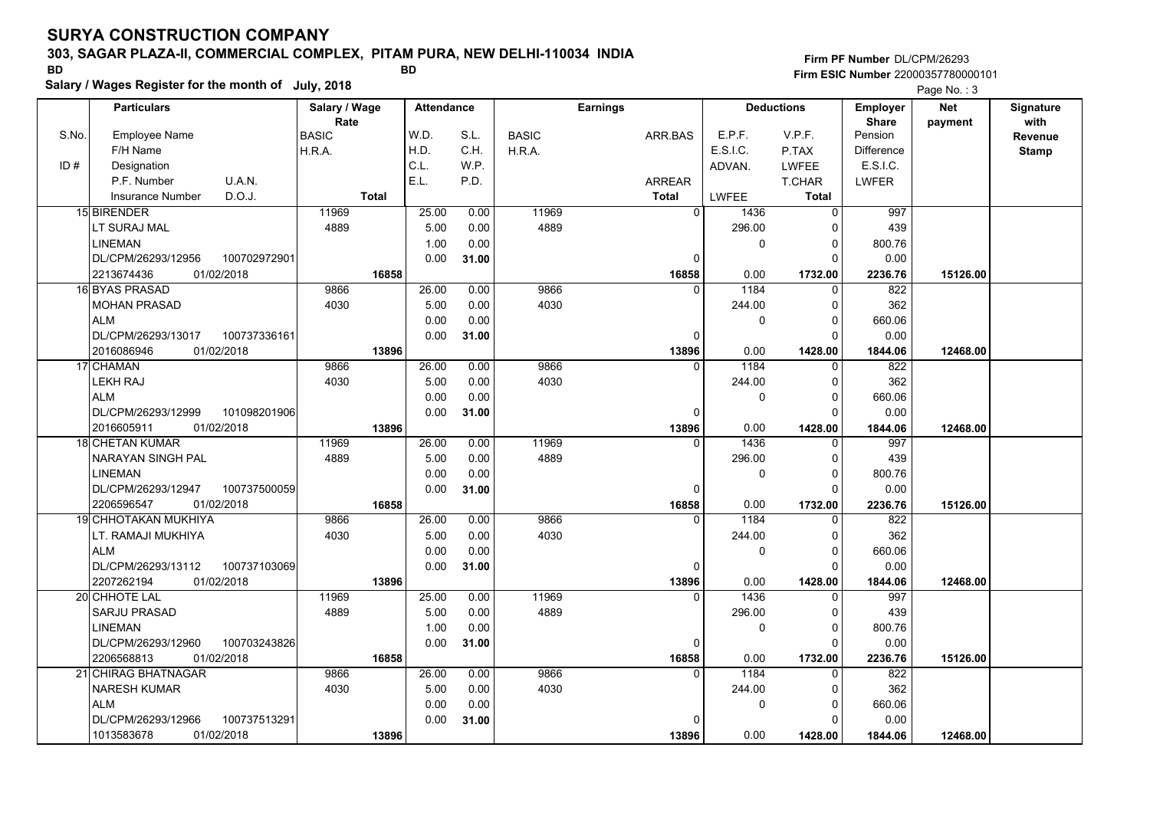## **303, SAGAR PLAZA-II, COMMERCIAL COMPLEX, PITAM PURA, NEW DELHI-110034 INDIA**

| <b>BD</b> |                                    |                                                     |                   | Firm ESIC Number 22000357780000101 |              |               |              |                   |                                 |                       |                   |
|-----------|------------------------------------|-----------------------------------------------------|-------------------|------------------------------------|--------------|---------------|--------------|-------------------|---------------------------------|-----------------------|-------------------|
|           |                                    | Salary / Wages Register for the month of July, 2018 |                   |                                    |              |               |              |                   |                                 | Page No.: 3           |                   |
|           | <b>Particulars</b>                 | Salary / Wage<br>Rate                               | <b>Attendance</b> |                                    |              | Earnings      |              | <b>Deductions</b> | <b>Employer</b><br><b>Share</b> | <b>Net</b><br>payment | Signature<br>with |
| S.No.     | <b>Employee Name</b>               | <b>BASIC</b>                                        | W.D.              | S.L.                               | <b>BASIC</b> | ARR.BAS       | E.P.F.       | V.P.F.            | Pension                         |                       | Revenue           |
|           | F/H Name                           | H.R.A.                                              | H.D.              | C.H.                               | H.R.A.       |               | E.S.I.C.     | P.TAX             | <b>Difference</b>               |                       | <b>Stamp</b>      |
| ID#       | Designation                        |                                                     | C.L.              | W.P.                               |              |               | ADVAN.       | <b>LWFEE</b>      | E.S.I.C.                        |                       |                   |
|           | P.F. Number<br>U.A.N.              |                                                     | E.L.              | P.D.                               |              | <b>ARREAR</b> |              | <b>T.CHAR</b>     | <b>LWFER</b>                    |                       |                   |
|           | D.O.J.<br><b>Insurance Number</b>  | <b>Total</b>                                        |                   |                                    |              | <b>Total</b>  | LWFEE        | <b>Total</b>      |                                 |                       |                   |
|           | 15 BIRENDER                        | 11969                                               | 25.00             | 0.00                               | 11969        | $\mathbf{0}$  | 1436         | $\Omega$          | 997                             |                       |                   |
|           | LT SURAJ MAL                       | 4889                                                | 5.00              | 0.00                               | 4889         |               | 296.00       | $\Omega$          | 439                             |                       |                   |
|           | <b>LINEMAN</b>                     |                                                     | 1.00              | 0.00                               |              |               | $\Omega$     | $\Omega$          | 800.76                          |                       |                   |
|           | DL/CPM/26293/12956<br>100702972901 |                                                     | 0.00              | 31.00                              |              | 0             |              | $\Omega$          | 0.00                            |                       |                   |
|           | 2213674436<br>01/02/2018           | 16858                                               |                   |                                    |              | 16858         | 0.00         | 1732.00           | 2236.76                         | 15126.00              |                   |
|           | 16 BYAS PRASAD                     | 9866                                                | 26.00             | 0.00                               | 9866         | $\Omega$      | 1184         | $\Omega$          | 822                             |                       |                   |
|           | <b>MOHAN PRASAD</b>                | 4030                                                | 5.00              | 0.00                               | 4030         |               | 244.00       | $\Omega$          | 362                             |                       |                   |
|           | ALM                                |                                                     | 0.00              | 0.00                               |              |               | $\Omega$     | $\Omega$          | 660.06                          |                       |                   |
|           | DL/CPM/26293/13017<br>100737336161 |                                                     | 0.00              | 31.00                              |              | $\mathbf 0$   |              | $\Omega$          | 0.00                            |                       |                   |
|           | 01/02/2018<br>2016086946           | 13896                                               |                   |                                    |              | 13896         | 0.00         | 1428.00           | 1844.06                         | 12468.00              |                   |
|           | 17 CHAMAN                          | 9866                                                | 26.00             | 0.00                               | 9866         | $\Omega$      | 1184         | $\mathbf 0$       | 822                             |                       |                   |
|           | LEKH RAJ                           | 4030                                                | 5.00              | 0.00                               | 4030         |               | 244.00       | 0                 | 362                             |                       |                   |
|           | <b>ALM</b>                         |                                                     | 0.00              | 0.00                               |              |               | $\Omega$     | $\Omega$          | 660.06                          |                       |                   |
|           | DL/CPM/26293/12999<br>101098201906 |                                                     | 0.00              | 31.00                              |              | $\Omega$      |              | $\Omega$          | 0.00                            |                       |                   |
|           | 2016605911<br>01/02/2018           | 13896                                               |                   |                                    |              | 13896         | 0.00         | 1428.00           | 1844.06                         | 12468.00              |                   |
|           | 18 CHETAN KUMAR                    | 11969                                               | 26.00             | 0.00                               | 11969        | $\Omega$      | 1436         | $\Omega$          | 997                             |                       |                   |
|           | <b>NARAYAN SINGH PAL</b>           | 4889                                                | 5.00              | 0.00                               | 4889         |               | 296.00       | $\Omega$          | 439                             |                       |                   |
|           | <b>LINEMAN</b>                     |                                                     | 0.00              | 0.00                               |              |               | $\mathbf{0}$ | $\Omega$          | 800.76                          |                       |                   |
|           | DL/CPM/26293/12947<br>100737500059 |                                                     | 0.00              | 31.00                              |              | $\mathbf 0$   |              | $\Omega$          | 0.00                            |                       |                   |
|           | 01/02/2018<br>2206596547           | 16858                                               |                   |                                    |              | 16858         | 0.00         | 1732.00           | 2236.76                         | 15126.00              |                   |
|           | 19 CHHOTAKAN MUKHIYA               | 9866                                                | 26.00             | 0.00                               | 9866         | $\Omega$      | 1184         | 0                 | 822                             |                       |                   |
|           | LT. RAMAJI MUKHIYA                 | 4030                                                | 5.00              | 0.00                               | 4030         |               | 244.00       | $\Omega$          | 362                             |                       |                   |
|           | <b>ALM</b>                         |                                                     | 0.00              | 0.00                               |              |               | $\mathbf{0}$ | $\Omega$          | 660.06                          |                       |                   |
|           | 100737103069<br>DL/CPM/26293/13112 |                                                     | 0.00              | 31.00                              |              | 0             |              | $\Omega$          | 0.00                            |                       |                   |
|           | 2207262194<br>01/02/2018           | 13896                                               |                   |                                    |              | 13896         | 0.00         | 1428.00           | 1844.06                         | 12468.00              |                   |
|           | 20 CHHOTE LAL                      | 11969                                               | 25.00             | 0.00                               | 11969        | $\Omega$      | 1436         | $\Omega$          | 997                             |                       |                   |
|           | <b>SARJU PRASAD</b>                | 4889                                                | 5.00              | 0.00                               | 4889         |               | 296.00       | $\Omega$          | 439                             |                       |                   |
|           | LINEMAN                            |                                                     | 1.00              | 0.00                               |              |               | 0            | $\Omega$          | 800.76                          |                       |                   |
|           | DL/CPM/26293/12960<br>100703243826 |                                                     | 0.00              | 31.00                              |              | 0             |              | $\Omega$          | 0.00                            |                       |                   |
|           | 2206568813<br>01/02/2018           | 16858                                               |                   |                                    |              | 16858         | 0.00         | 1732.00           | 2236.76                         | 15126.00              |                   |
|           | 21 CHIRAG BHATNAGAR                | 9866                                                | 26.00             | 0.00                               | 9866         |               | 1184         | $\Omega$          | 822                             |                       |                   |
|           | <b>NARESH KUMAR</b>                | 4030                                                | 5.00              | 0.00                               | 4030         |               | 244.00       | $\Omega$          | 362                             |                       |                   |
|           | <b>ALM</b>                         |                                                     | 0.00              | 0.00                               |              |               | 0            | $\Omega$          | 660.06                          |                       |                   |
|           | DL/CPM/26293/12966<br>100737513291 |                                                     | 0.00              | 31.00                              |              | $\Omega$      |              |                   | 0.00                            |                       |                   |
|           | 01/02/2018<br>1013583678           | 13896                                               |                   |                                    |              | 13896         | 0.00         | 1428.00           | 1844.06                         | 12468.00              |                   |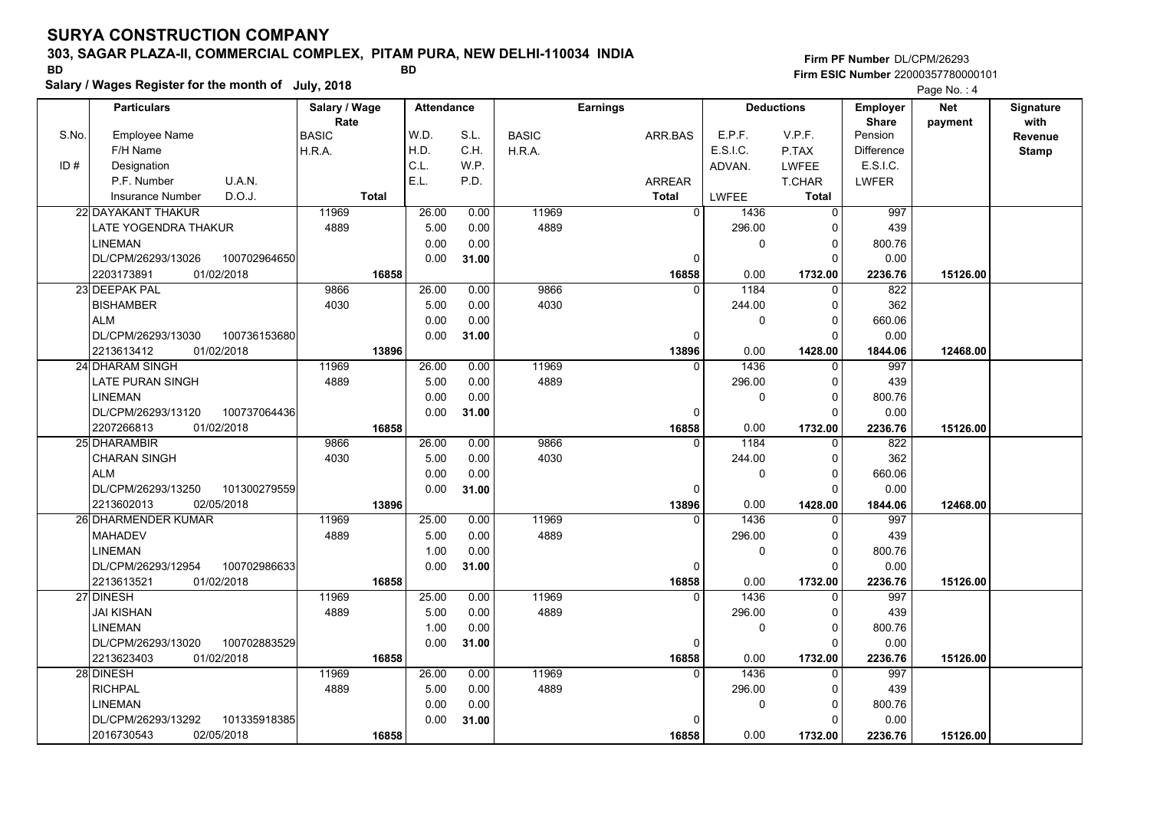## **303, SAGAR PLAZA-II, COMMERCIAL COMPLEX, PITAM PURA, NEW DELHI-110034 INDIA**

**Salary / Wages Register for the month of July, 2018 BD BD Firm PF Number**DL/CPM/26293**Firm ESIC Number** 22000357780000101

|       | <b>Particulars</b>                 | Salary / Wage | <b>Attendance</b> |       |              | <b>Earnings</b> |          | <b>Deductions</b> | <b>Employer</b>         | <b>Net</b> | Signature    |
|-------|------------------------------------|---------------|-------------------|-------|--------------|-----------------|----------|-------------------|-------------------------|------------|--------------|
| S.No. | <b>Employee Name</b>               | Rate          | W.D.              | S.L.  |              |                 | E.P.F.   | V.P.F.            | <b>Share</b><br>Pension | payment    | with         |
|       |                                    | <b>BASIC</b>  | H.D.              | C.H.  | <b>BASIC</b> | ARR.BAS         | E.S.I.C. |                   |                         |            | Revenue      |
|       | F/H Name                           | H.R.A.        | C.L.              |       | H.R.A.       |                 |          | P.TAX             | <b>Difference</b>       |            | <b>Stamp</b> |
| ID#   | Designation                        |               |                   | WP.   |              |                 | ADVAN.   | <b>LWFEE</b>      | E.S.I.C.                |            |              |
|       | U.A.N.<br>P.F. Number              |               | E.L.              | P.D.  |              | ARREAR          |          | T.CHAR            | <b>LWFER</b>            |            |              |
|       | D.O.J.<br><b>Insurance Number</b>  | <b>Total</b>  |                   |       |              | <b>Total</b>    | LWFEE    | Total             |                         |            |              |
|       | 22 DAYAKANT THAKUR                 | 11969         | 26.00             | 0.00  | 11969        | $\mathbf 0$     | 1436     | $\mathbf 0$       | 997                     |            |              |
|       | LATE YOGENDRA THAKUR               | 4889          | 5.00              | 0.00  | 4889         |                 | 296.00   | $\Omega$          | 439                     |            |              |
|       | <b>LINEMAN</b>                     |               | 0.00              | 0.00  |              |                 | 0        | $\Omega$          | 800.76                  |            |              |
|       | DL/CPM/26293/13026<br>100702964650 |               | 0.00              | 31.00 |              | 0               |          | $\Omega$          | 0.00                    |            |              |
|       | 2203173891<br>01/02/2018           | 16858         |                   |       |              | 16858           | 0.00     | 1732.00           | 2236.76                 | 15126.00   |              |
|       | 23 DEEPAK PAL                      | 9866          | 26.00             | 0.00  | 9866         | $\Omega$        | 1184     | $\Omega$          | 822                     |            |              |
|       | <b>BISHAMBER</b>                   | 4030          | 5.00              | 0.00  | 4030         |                 | 244.00   | $\Omega$          | 362                     |            |              |
|       | <b>ALM</b>                         |               | 0.00              | 0.00  |              |                 | 0        | $\Omega$          | 660.06                  |            |              |
|       | DL/CPM/26293/13030<br>100736153680 |               | 0.00              | 31.00 |              | $\Omega$        |          | $\Omega$          | 0.00                    |            |              |
|       | 01/02/2018<br>2213613412           | 13896         |                   |       |              | 13896           | 0.00     | 1428.00           | 1844.06                 | 12468.00   |              |
|       | 24 DHARAM SINGH                    | 11969         | 26.00             | 0.00  | 11969        | $\Omega$        | 1436     | 0                 | 997                     |            |              |
|       | LATE PURAN SINGH                   | 4889          | 5.00              | 0.00  | 4889         |                 | 296.00   | $\Omega$          | 439                     |            |              |
|       | <b>LINEMAN</b>                     |               | 0.00              | 0.00  |              |                 | 0        | $\Omega$          | 800.76                  |            |              |
|       | DL/CPM/26293/13120<br>100737064436 |               | 0.00              | 31.00 |              | 0               |          | $\Omega$          | 0.00                    |            |              |
|       | 2207266813<br>01/02/2018           | 16858         |                   |       |              | 16858           | 0.00     | 1732.00           | 2236.76                 | 15126.00   |              |
|       | 25 DHARAMBIR                       | 9866          | 26.00             | 0.00  | 9866         | $\Omega$        | 1184     | $\mathbf{0}$      | 822                     |            |              |
|       | <b>CHARAN SINGH</b>                | 4030          | 5.00              | 0.00  | 4030         |                 | 244.00   | $\Omega$          | 362                     |            |              |
|       | <b>ALM</b>                         |               | 0.00              | 0.00  |              |                 | 0        | $\Omega$          | 660.06                  |            |              |
|       | DL/CPM/26293/13250<br>101300279559 |               | 0.00              | 31.00 |              | $\Omega$        |          | $\Omega$          | 0.00                    |            |              |
|       | 2213602013<br>02/05/2018           | 13896         |                   |       |              | 13896           | 0.00     | 1428.00           | 1844.06                 | 12468.00   |              |
|       | <b>26 DHARMENDER KUMAR</b>         | 11969         | 25.00             | 0.00  | 11969        | $\Omega$        | 1436     | $\Omega$          | 997                     |            |              |
|       | <b>MAHADEV</b>                     | 4889          | 5.00              | 0.00  | 4889         |                 | 296.00   | $\Omega$          | 439                     |            |              |
|       | <b>LINEMAN</b>                     |               | 1.00              | 0.00  |              |                 | 0        | $\mathbf 0$       | 800.76                  |            |              |
|       | 100702986633<br>DL/CPM/26293/12954 |               | 0.00              | 31.00 |              | $\Omega$        |          | $\Omega$          | 0.00                    |            |              |
|       | 01/02/2018<br>2213613521           | 16858         |                   |       |              | 16858           | 0.00     | 1732.00           | 2236.76                 | 15126.00   |              |
|       | 27 DINESH                          | 11969         | 25.00             | 0.00  | 11969        | $\Omega$        | 1436     | $\mathbf{0}$      | 997                     |            |              |
|       | JAI KISHAN                         | 4889          | 5.00              | 0.00  | 4889         |                 | 296.00   | $\Omega$          | 439                     |            |              |
|       | <b>LINEMAN</b>                     |               | 1.00              | 0.00  |              |                 | 0        | $\Omega$          | 800.76                  |            |              |
|       | 100702883529<br>DL/CPM/26293/13020 |               | 0.00              | 31.00 |              | $\Omega$        |          | $\Omega$          | 0.00                    |            |              |
|       | 2213623403<br>01/02/2018           | 16858         |                   |       |              | 16858           | 0.00     | 1732.00           | 2236.76                 | 15126.00   |              |
|       | 28 DINESH                          | 11969         | 26.00             | 0.00  | 11969        | 0               | 1436     | 0                 | 997                     |            |              |
|       | <b>RICHPAL</b>                     | 4889          | 5.00              | 0.00  | 4889         |                 | 296.00   | $\Omega$          | 439                     |            |              |
|       | <b>LINEMAN</b>                     |               | 0.00              | 0.00  |              |                 | 0        | $\mathbf 0$       | 800.76                  |            |              |
|       | DL/CPM/26293/13292<br>101335918385 |               | 0.00              | 31.00 |              | $\Omega$        |          | $\Omega$          | 0.00                    |            |              |
|       | 2016730543<br>02/05/2018           | 16858         |                   |       |              | 16858           | 0.00     | 1732.00           | 2236.76                 | 15126.00   |              |
|       |                                    |               |                   |       |              |                 |          |                   |                         |            |              |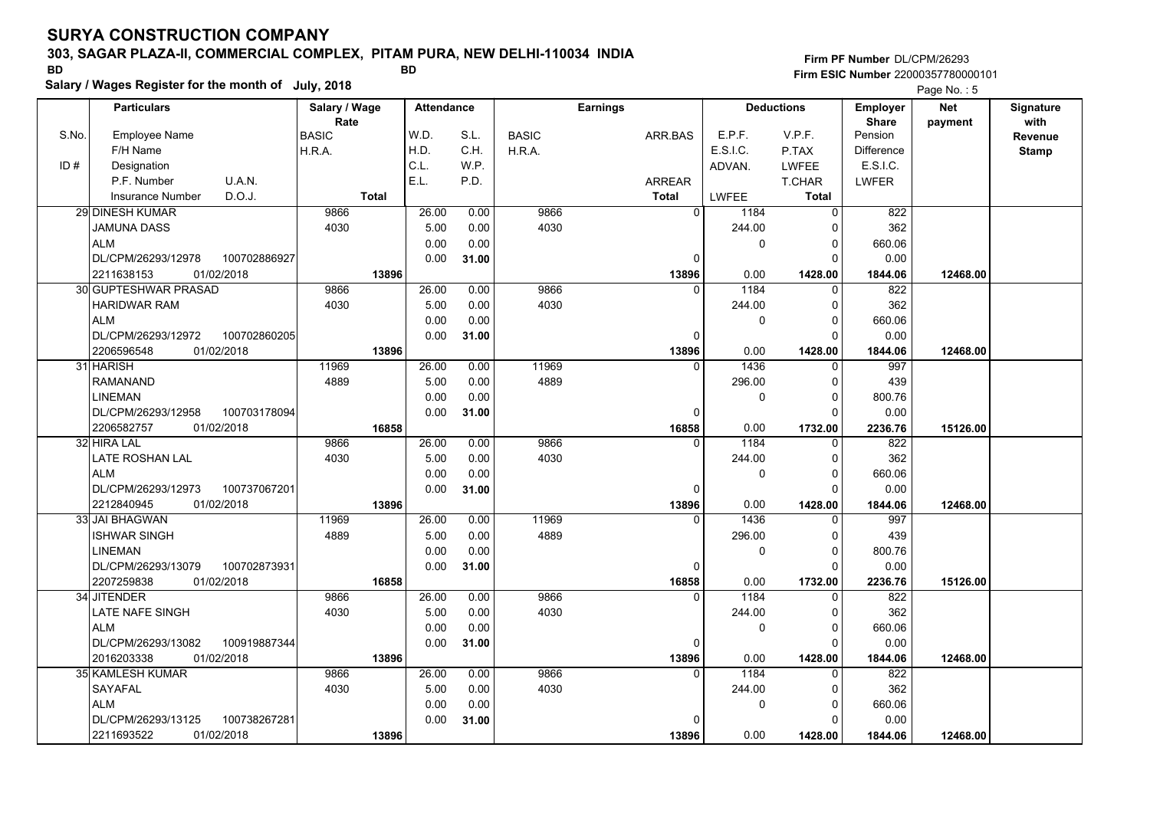## **303, SAGAR PLAZA-II, COMMERCIAL COMPLEX, PITAM PURA, NEW DELHI-110034 INDIA**

**Salary / Wages Register for the month of July, 2018 BD BD**

|       | Salary / Wages Register for the month of July, 2018 |               |                   |       |              |                 |             |                   | Page No.: 5       |            |              |
|-------|-----------------------------------------------------|---------------|-------------------|-------|--------------|-----------------|-------------|-------------------|-------------------|------------|--------------|
|       | <b>Particulars</b>                                  | Salary / Wage | <b>Attendance</b> |       |              | <b>Earnings</b> |             | <b>Deductions</b> | <b>Employer</b>   | <b>Net</b> | Signature    |
|       |                                                     | Rate          |                   |       |              |                 |             |                   | <b>Share</b>      | payment    | with         |
| S.No. | Employee Name                                       | <b>BASIC</b>  | W.D.              | S.L.  | <b>BASIC</b> | ARR.BAS         | E.P.F.      | V.P.F.            | Pension           |            | Revenue      |
|       | F/H Name                                            | H.R.A.        | H.D.              | C.H.  | H.R.A.       |                 | E.S.I.C.    | P.TAX             | <b>Difference</b> |            | <b>Stamp</b> |
| ID#   | Designation                                         |               | C.L.              | W.P.  |              |                 | ADVAN.      | <b>LWFEE</b>      | <b>E.S.I.C.</b>   |            |              |
|       | U.A.N.<br>P.F. Number                               |               | E.L.              | P.D.  |              | <b>ARREAR</b>   |             | <b>T.CHAR</b>     | LWFER             |            |              |
|       | D.O.J.<br><b>Insurance Number</b>                   | <b>Total</b>  |                   |       |              | <b>Total</b>    | LWFEE       | Total             |                   |            |              |
|       | 29 DINESH KUMAR                                     | 9866          | 26.00             | 0.00  | 9866         | $\mathbf 0$     | 1184        | $\mathbf 0$       | 822               |            |              |
|       | <b>JAMUNA DASS</b>                                  | 4030          | 5.00              | 0.00  | 4030         |                 | 244.00      | $\Omega$          | 362               |            |              |
|       | <b>ALM</b>                                          |               | 0.00              | 0.00  |              |                 | 0           | 0                 | 660.06            |            |              |
|       | 100702886927<br>DL/CPM/26293/12978                  |               | 0.00              | 31.00 |              | 0               |             | $\Omega$          | 0.00              |            |              |
|       | 01/02/2018<br>2211638153                            | 13896         |                   |       |              | 13896           | 0.00        | 1428.00           | 1844.06           | 12468.00   |              |
|       | 30 GUPTESHWAR PRASAD                                | 9866          | 26.00             | 0.00  | 9866         | 0               | 1184        | 0                 | 822               |            |              |
|       | <b>HARIDWAR RAM</b>                                 | 4030          | 5.00              | 0.00  | 4030         |                 | 244.00      | 0                 | 362               |            |              |
|       | <b>ALM</b>                                          |               | 0.00              | 0.00  |              |                 | $\mathbf 0$ | 0                 | 660.06            |            |              |
|       | DL/CPM/26293/12972<br>100702860205                  |               | 0.00              | 31.00 |              | 0               |             | $\Omega$          | 0.00              |            |              |
|       | 2206596548<br>01/02/2018                            | 13896         |                   |       |              | 13896           | 0.00        | 1428.00           | 1844.06           | 12468.00   |              |
|       | 31 HARISH                                           | 11969         | 26.00             | 0.00  | 11969        | $\mathbf{0}$    | 1436        | $\mathbf{0}$      | 997               |            |              |
|       | <b>RAMANAND</b>                                     | 4889          | 5.00              | 0.00  | 4889         |                 | 296.00      | 0                 | 439               |            |              |
|       | <b>LINEMAN</b>                                      |               | 0.00              | 0.00  |              |                 | 0           | 0                 | 800.76            |            |              |
|       | DL/CPM/26293/12958<br>100703178094                  |               | 0.00              | 31.00 |              | 0               |             | $\Omega$          | 0.00              |            |              |
|       | 2206582757<br>01/02/2018                            | 16858         |                   |       |              | 16858           | 0.00        | 1732.00           | 2236.76           | 15126.00   |              |
|       | 32 HIRA LAL                                         | 9866          | 26.00             | 0.00  | 9866         | 0               | 1184        | $\Omega$          | 822               |            |              |
|       | LATE ROSHAN LAL                                     | 4030          | 5.00              | 0.00  | 4030         |                 | 244.00      | 0                 | 362               |            |              |
|       | <b>ALM</b>                                          |               | 0.00              | 0.00  |              |                 | $\mathbf 0$ | $\mathbf 0$       | 660.06            |            |              |
|       | DL/CPM/26293/12973<br>100737067201                  |               | 0.00              | 31.00 |              | 0               |             | $\Omega$          | 0.00              |            |              |
|       | 2212840945<br>01/02/2018                            | 13896         |                   |       |              | 13896           | 0.00        | 1428.00           | 1844.06           | 12468.00   |              |
|       | 33 JAI BHAGWAN                                      | 11969         | 26.00             | 0.00  | 11969        | 0               | 1436        | 0                 | 997               |            |              |
|       | <b>ISHWAR SINGH</b>                                 | 4889          | 5.00              | 0.00  | 4889         |                 | 296.00      | 0                 | 439               |            |              |
|       | <b>LINEMAN</b>                                      |               | 0.00              | 0.00  |              |                 | $\mathbf 0$ | $\Omega$          | 800.76            |            |              |
|       | DL/CPM/26293/13079<br>100702873931                  |               | 0.00              | 31.00 |              | 0               |             | $\Omega$          | 0.00              |            |              |
|       | 2207259838<br>01/02/2018                            | 16858         |                   |       |              | 16858           | 0.00        | 1732.00           | 2236.76           | 15126.00   |              |
|       | 34 JITENDER                                         | 9866          | 26.00             | 0.00  | 9866         | $\mathbf{0}$    | 1184        | 0                 | 822               |            |              |
|       | LATE NAFE SINGH                                     | 4030          | 5.00              | 0.00  | 4030         |                 | 244.00      | 0                 | 362               |            |              |
|       | <b>ALM</b>                                          |               | 0.00              | 0.00  |              |                 | 0           | 0                 | 660.06            |            |              |
|       | DL/CPM/26293/13082<br>100919887344                  |               | 0.00              | 31.00 |              | 0               |             | $\Omega$          | 0.00              |            |              |
|       | 2016203338<br>01/02/2018                            | 13896         |                   |       |              | 13896           | 0.00        | 1428.00           | 1844.06           | 12468.00   |              |
|       | 35 KAMLESH KUMAR                                    | 9866          | 26.00             | 0.00  | 9866         | 0               | 1184        | $\Omega$          | 822               |            |              |
|       | <b>SAYAFAL</b>                                      | 4030          | 5.00              | 0.00  | 4030         |                 | 244.00      | 0                 | 362               |            |              |
|       | <b>ALM</b>                                          |               | 0.00              | 0.00  |              |                 | $\mathbf 0$ | 0                 | 660.06            |            |              |
|       | DL/CPM/26293/13125<br>100738267281                  |               | 0.00              | 31.00 |              | 0               |             | $\Omega$          | 0.00              |            |              |
|       | 2211693522<br>01/02/2018                            | 13896         |                   |       |              | 13896           | 0.00        | 1428.00           | 1844.06           | 12468.00   |              |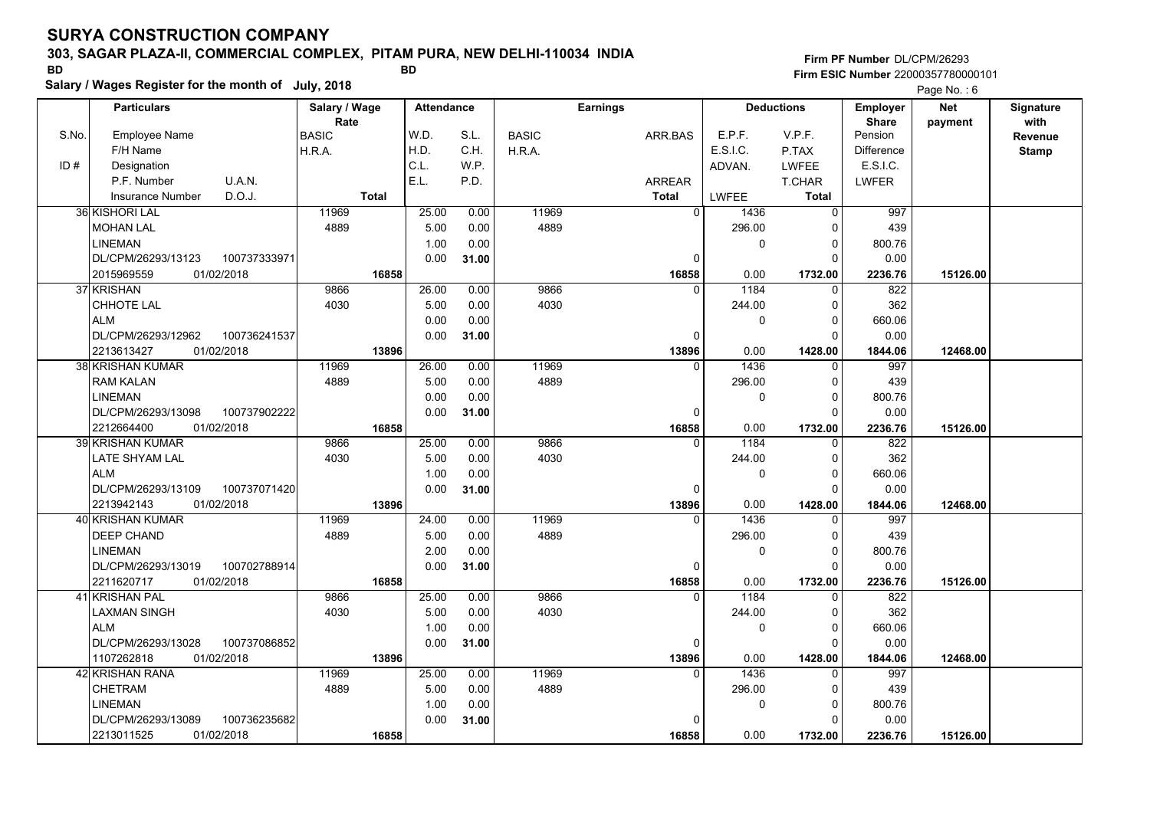### **303, SAGAR PLAZA-II, COMMERCIAL COMPLEX, PITAM PURA, NEW DELHI-110034 INDIA**

**Firm ESIC Number** 22000357780000101 **BD BD**

**Firm PF Number**DL/CPM/26293

|       | Salary / Wages Register for the month of July, 2018 |               |                   |       |              |                 |          |                   |                   | Page No.: 6 |                  |
|-------|-----------------------------------------------------|---------------|-------------------|-------|--------------|-----------------|----------|-------------------|-------------------|-------------|------------------|
|       | <b>Particulars</b>                                  | Salary / Wage | <b>Attendance</b> |       |              | <b>Earnings</b> |          | <b>Deductions</b> | <b>Employer</b>   | <b>Net</b>  | <b>Signature</b> |
|       |                                                     | Rate          |                   |       |              |                 |          |                   | <b>Share</b>      | payment     | with             |
| S.No. | <b>Employee Name</b>                                | <b>BASIC</b>  | W.D.              | S.L.  | <b>BASIC</b> | ARR.BAS         | E.P.F.   | V.P.F.            | Pension           |             | Revenue          |
|       | F/H Name                                            | H.R.A.        | H.D.              | C.H.  | H.R.A.       |                 | E.S.I.C. | P.TAX             | <b>Difference</b> |             | <b>Stamp</b>     |
| ID#   | Designation                                         |               | C.L.              | W.P.  |              |                 | ADVAN.   | LWFEE             | E.S.I.C.          |             |                  |
|       | P.F. Number<br>U.A.N.                               |               | E.L.              | P.D.  |              | <b>ARREAR</b>   |          | <b>T.CHAR</b>     | LWFER             |             |                  |
|       | D.O.J.<br><b>Insurance Number</b>                   | <b>Total</b>  |                   |       |              | <b>Total</b>    | LWFEE    | <b>Total</b>      |                   |             |                  |
|       | 36 KISHORI LAL                                      | 11969         | 25.00             | 0.00  | 11969        | $\mathbf 0$     | 1436     | 0                 | 997               |             |                  |
|       | <b>MOHAN LAL</b>                                    | 4889          | 5.00              | 0.00  | 4889         |                 | 296.00   | $\Omega$          | 439               |             |                  |
|       | <b>LINEMAN</b>                                      |               | 1.00              | 0.00  |              |                 | 0        | $\mathbf 0$       | 800.76            |             |                  |
|       | DL/CPM/26293/13123<br>100737333971                  |               | 0.00              | 31.00 |              | 0               |          | $\mathbf 0$       | 0.00              |             |                  |
|       | 2015969559<br>01/02/2018                            | 16858         |                   |       |              | 16858           | 0.00     | 1732.00           | 2236.76           | 15126.00    |                  |
|       | 37 KRISHAN                                          | 9866          | 26.00             | 0.00  | 9866         | $\Omega$        | 1184     | 0                 | 822               |             |                  |
|       | CHHOTE LAL                                          | 4030          | 5.00              | 0.00  | 4030         |                 | 244.00   | $\mathbf 0$       | 362               |             |                  |
|       | <b>ALM</b>                                          |               | 0.00              | 0.00  |              |                 | 0        | 0                 | 660.06            |             |                  |
|       | 100736241537<br>DL/CPM/26293/12962                  |               | 0.00              | 31.00 |              | 0               |          | $\mathbf 0$       | 0.00              |             |                  |
|       | 2213613427<br>01/02/2018                            | 13896         |                   |       |              | 13896           | 0.00     | 1428.00           | 1844.06           | 12468.00    |                  |
|       | <b>38 KRISHAN KUMAR</b>                             | 11969         | 26.00             | 0.00  | 11969        | $\Omega$        | 1436     | $\mathbf 0$       | 997               |             |                  |
|       | <b>RAM KALAN</b>                                    | 4889          | 5.00              | 0.00  | 4889         |                 | 296.00   | $\mathbf 0$       | 439               |             |                  |
|       | <b>LINEMAN</b>                                      |               | 0.00              | 0.00  |              |                 | 0        | $\mathbf 0$       | 800.76            |             |                  |
|       | DL/CPM/26293/13098<br>100737902222                  |               | 0.00              | 31.00 |              | 0               |          | $\Omega$          | 0.00              |             |                  |
|       | 01/02/2018<br>2212664400                            | 16858         |                   |       |              | 16858           | 0.00     | 1732.00           | 2236.76           | 15126.00    |                  |
|       | 39 KRISHAN KUMAR                                    | 9866          | 25.00             | 0.00  | 9866         | $\Omega$        | 1184     | 0                 | 822               |             |                  |
|       | LATE SHYAM LAL                                      | 4030          | 5.00              | 0.00  | 4030         |                 | 244.00   | 0                 | 362               |             |                  |
|       | <b>ALM</b>                                          |               | 1.00              | 0.00  |              |                 | 0        | $\mathbf 0$       | 660.06            |             |                  |
|       | DL/CPM/26293/13109<br>100737071420                  |               | 0.00              | 31.00 |              | 0               |          | $\mathbf 0$       | 0.00              |             |                  |
|       | 2213942143<br>01/02/2018                            | 13896         |                   |       |              | 13896           | 0.00     | 1428.00           | 1844.06           | 12468.00    |                  |
|       | 40 KRISHAN KUMAR                                    | 11969         | 24.00             | 0.00  | 11969        | 0               | 1436     | 0                 | 997               |             |                  |
|       | DEEP CHAND                                          | 4889          | 5.00              | 0.00  | 4889         |                 | 296.00   | $\mathbf 0$       | 439               |             |                  |
|       | <b>LINEMAN</b>                                      |               | 2.00              | 0.00  |              |                 | 0        | 0                 | 800.76            |             |                  |
|       | 100702788914<br>DL/CPM/26293/13019                  |               | 0.00              | 31.00 |              | 0               |          | $\Omega$          | 0.00              |             |                  |
|       | 2211620717<br>01/02/2018                            | 16858         |                   |       |              | 16858           | 0.00     | 1732.00           | 2236.76           | 15126.00    |                  |
|       | 41 KRISHAN PAL                                      | 9866          | 25.00             | 0.00  | 9866         | $\Omega$        | 1184     | $\Omega$          | 822               |             |                  |
|       | LAXMAN SINGH                                        | 4030          | 5.00              | 0.00  | 4030         |                 | 244.00   | $\mathbf 0$       | 362               |             |                  |
|       | <b>ALM</b>                                          |               | 1.00              | 0.00  |              |                 | 0        | $\mathbf 0$       | 660.06            |             |                  |
|       | DL/CPM/26293/13028<br>100737086852                  |               | 0.00              | 31.00 |              | 0               |          | $\Omega$          | 0.00              |             |                  |
|       | 1107262818<br>01/02/2018                            | 13896         |                   |       |              | 13896           | 0.00     | 1428.00           | 1844.06           | 12468.00    |                  |
|       | 42 KRISHAN RANA                                     | 11969         | 25.00             | 0.00  | 11969        | $\Omega$        | 1436     | 0                 | 997               |             |                  |
|       | <b>CHETRAM</b>                                      | 4889          | 5.00              | 0.00  | 4889         |                 | 296.00   | $\mathbf 0$       | 439               |             |                  |
|       | <b>LINEMAN</b>                                      |               | 1.00              | 0.00  |              |                 | 0        | $\mathbf 0$       | 800.76            |             |                  |
|       | DL/CPM/26293/13089<br>100736235682                  |               | 0.00              | 31.00 |              | 0               |          | $\Omega$          | 0.00              |             |                  |
|       | 01/02/2018<br>2213011525                            | 16858         |                   |       |              | 16858           | 0.00     | 1732.00           | 2236.76           | 15126.00    |                  |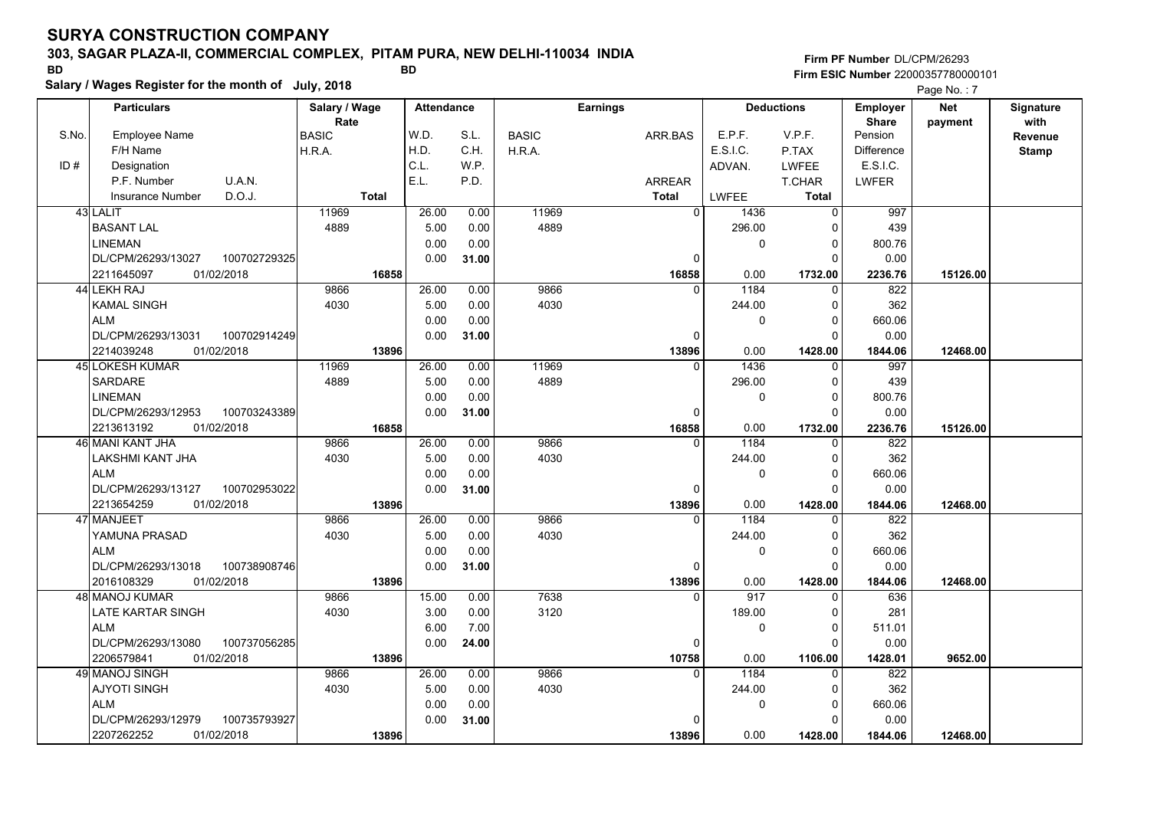## **303, SAGAR PLAZA-II, COMMERCIAL COMPLEX, PITAM PURA, NEW DELHI-110034 INDIA**

**Salary / Wages Register for the month of July, 2018 BD BD**

|       | Salary / Wages Register for the month of July, 2018 | Page No.: 7   |                   |       |              |                 |             |                   |                 |            |                  |
|-------|-----------------------------------------------------|---------------|-------------------|-------|--------------|-----------------|-------------|-------------------|-----------------|------------|------------------|
|       | <b>Particulars</b>                                  | Salary / Wage | <b>Attendance</b> |       |              | <b>Earnings</b> |             | <b>Deductions</b> | <b>Employer</b> | <b>Net</b> | <b>Signature</b> |
|       |                                                     | Rate          |                   |       |              |                 |             |                   | <b>Share</b>    | payment    | with             |
| S.No. | <b>Employee Name</b>                                | <b>BASIC</b>  | W.D.              | S.L.  | <b>BASIC</b> | ARR.BAS         | E.P.F.      | V.P.F.            | Pension         |            | Revenue          |
|       | F/H Name                                            | H.R.A.        | H.D.              | C.H.  | H.R.A.       |                 | E.S.I.C.    | P.TAX             | Difference      |            | <b>Stamp</b>     |
| ID#   | Designation                                         |               | C.L.              | WP.   |              |                 | ADVAN.      | <b>LWFEE</b>      | E.S.I.C.        |            |                  |
|       | U.A.N.<br>P.F. Number                               |               | E.L.              | P.D.  |              | <b>ARREAR</b>   |             | <b>T.CHAR</b>     | <b>LWFER</b>    |            |                  |
|       | D.O.J.<br><b>Insurance Number</b>                   | <b>Total</b>  |                   |       |              | <b>Total</b>    | LWFEE       | Total             |                 |            |                  |
|       | 43 LALIT                                            | 11969         | 26.00             | 0.00  | 11969        | $\mathbf 0$     | 1436        | $\mathbf 0$       | 997             |            |                  |
|       | <b>BASANT LAL</b>                                   | 4889          | 5.00              | 0.00  | 4889         |                 | 296.00      | 0                 | 439             |            |                  |
|       | LINEMAN                                             |               | 0.00              | 0.00  |              |                 | $\pmb{0}$   | 0                 | 800.76          |            |                  |
|       | 100702729325<br>DL/CPM/26293/13027                  |               | 0.00              | 31.00 |              | 0               |             | 0                 | 0.00            |            |                  |
|       | 2211645097<br>01/02/2018                            | 16858         |                   |       |              | 16858           | 0.00        | 1732.00           | 2236.76         | 15126.00   |                  |
|       | 44 LEKH RAJ                                         | 9866          | 26.00             | 0.00  | 9866         | 0               | 1184        | 0                 | 822             |            |                  |
|       | KAMAL SINGH                                         | 4030          | 5.00              | 0.00  | 4030         |                 | 244.00      | 0                 | 362             |            |                  |
|       | ALM                                                 |               | 0.00              | 0.00  |              |                 | 0           | $\Omega$          | 660.06          |            |                  |
|       | DL/CPM/26293/13031<br>100702914249                  |               | 0.00              | 31.00 |              | 0               |             | 0                 | 0.00            |            |                  |
|       | 2214039248<br>01/02/2018                            | 13896         |                   |       |              | 13896           | 0.00        | 1428.00           | 1844.06         | 12468.00   |                  |
|       | 45 LOKESH KUMAR                                     | 11969         | 26.00             | 0.00  | 11969        | $\Omega$        | 1436        | $\mathbf{0}$      | 997             |            |                  |
|       | <b>SARDARE</b>                                      | 4889          | 5.00              | 0.00  | 4889         |                 | 296.00      | 0                 | 439             |            |                  |
|       | <b>LINEMAN</b>                                      |               | 0.00              | 0.00  |              |                 | 0           | 0                 | 800.76          |            |                  |
|       | DL/CPM/26293/12953<br>100703243389                  |               | 0.00              | 31.00 |              | 0               |             | 0                 | 0.00            |            |                  |
|       | 01/02/2018<br>2213613192                            | 16858         |                   |       |              | 16858           | 0.00        | 1732.00           | 2236.76         | 15126.00   |                  |
|       | 46 MANI KANT JHA                                    | 9866          | 26.00             | 0.00  | 9866         | 0               | 1184        | 0                 | 822             |            |                  |
|       | LAKSHMI KANT JHA                                    | 4030          | 5.00              | 0.00  | 4030         |                 | 244.00      | 0                 | 362             |            |                  |
|       | ALM                                                 |               | 0.00              | 0.00  |              |                 | $\mathbf 0$ | 0                 | 660.06          |            |                  |
|       | 100702953022<br>DL/CPM/26293/13127                  |               | 0.00              | 31.00 |              | 0               |             | 0                 | 0.00            |            |                  |
|       | 2213654259<br>01/02/2018                            | 13896         |                   |       |              | 13896           | 0.00        | 1428.00           | 1844.06         | 12468.00   |                  |
|       | 47 MANJEET                                          | 9866          | 26.00             | 0.00  | 9866         | 0               | 1184        | $\Omega$          | 822             |            |                  |
|       | YAMUNA PRASAD                                       | 4030          | 5.00              | 0.00  | 4030         |                 | 244.00      | 0                 | 362             |            |                  |
|       | <b>ALM</b>                                          |               | 0.00              | 0.00  |              |                 | $\Omega$    | 0                 | 660.06          |            |                  |
|       | DL/CPM/26293/13018<br>100738908746                  |               | 0.00              | 31.00 |              | 0               |             | 0                 | 0.00            |            |                  |
|       | 2016108329<br>01/02/2018                            | 13896         |                   |       |              | 13896           | 0.00        | 1428.00           | 1844.06         | 12468.00   |                  |
|       | 48 MANOJ KUMAR                                      | 9866          | 15.00             | 0.00  | 7638         | $\Omega$        | 917         | $\mathbf 0$       | 636             |            |                  |
|       | LATE KARTAR SINGH                                   | 4030          | 3.00              | 0.00  | 3120         |                 | 189.00      | 0                 | 281             |            |                  |
|       | <b>ALM</b>                                          |               | 6.00              | 7.00  |              |                 | 0           | 0                 | 511.01          |            |                  |
|       | DL/CPM/26293/13080<br>100737056285                  |               | 0.00              | 24.00 |              | 0               |             | 0                 | 0.00            |            |                  |
|       | 2206579841<br>01/02/2018                            | 13896         |                   |       |              | 10758           | 0.00        | 1106.00           | 1428.01         | 9652.00    |                  |
|       | 49 MANOJ SINGH                                      | 9866          | 26.00             | 0.00  | 9866         | 0               | 1184        | 0                 | 822             |            |                  |
|       | <b>AJYOTI SINGH</b>                                 | 4030          | 5.00              | 0.00  | 4030         |                 | 244.00      | $\Omega$          | 362             |            |                  |
|       | ALM                                                 |               | 0.00              | 0.00  |              |                 | $\mathbf 0$ | 0                 | 660.06          |            |                  |
|       | DL/CPM/26293/12979<br>100735793927                  |               | 0.00              | 31.00 |              | 0               |             | 0                 | 0.00            |            |                  |
|       | 2207262252<br>01/02/2018                            | 13896         |                   |       |              | 13896           | 0.00        | 1428.00           | 1844.06         | 12468.00   |                  |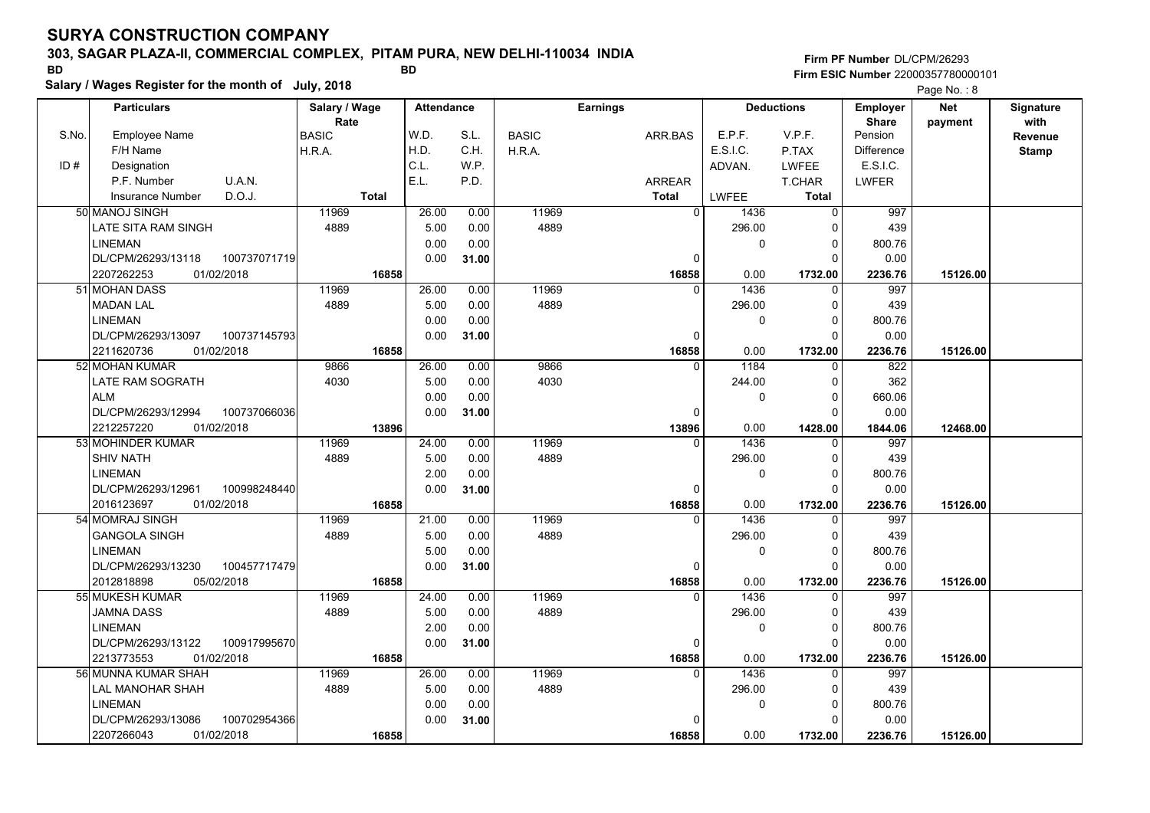### **303, SAGAR PLAZA-II, COMMERCIAL COMPLEX, PITAM PURA, NEW DELHI-110034 INDIA**

**Salary / Wages Register for the month of July, 2018 BD BD**

## **Firm PF Number**DL/CPM/26293**Firm ESIC Number** 22000357780000101

|       | <b>Particulars</b>       |              | Salary / Wage        |              | <b>Attendance</b> |       |              | <b>Earnings</b> |                        | <b>Deductions</b> | Employer                | <b>Net</b> | Signature       |
|-------|--------------------------|--------------|----------------------|--------------|-------------------|-------|--------------|-----------------|------------------------|-------------------|-------------------------|------------|-----------------|
| S.No. | <b>Employee Name</b>     |              | Rate<br><b>BASIC</b> |              | W.D.              | S.L.  | <b>BASIC</b> | ARR.BAS         | E.P.F.                 | V.P.F.            | <b>Share</b><br>Pension | payment    | with<br>Revenue |
|       | F/H Name                 |              | H.R.A.               |              | H.D.              | C.H.  | H.R.A.       |                 | E.S.I.C.               | P.TAX             | <b>Difference</b>       |            | <b>Stamp</b>    |
| ID#   | Designation              |              |                      |              | C.L.              | W.P.  |              |                 | ADVAN.                 | <b>LWFEE</b>      | E.S.I.C.                |            |                 |
|       | P.F. Number              | U.A.N.       |                      |              | E.L.              | P.D.  |              | <b>ARREAR</b>   |                        | <b>T.CHAR</b>     | <b>LWFER</b>            |            |                 |
|       | Insurance Number         | D.O.J.       |                      | <b>Total</b> |                   |       |              | <b>Total</b>    | LWFEE                  | <b>Total</b>      |                         |            |                 |
|       | 50 MANOJ SINGH           |              | 11969                |              | 26.00             | 0.00  | 11969        |                 | $\overline{0}$<br>1436 | $\mathbf 0$       | 997                     |            |                 |
|       | LATE SITA RAM SINGH      |              | 4889                 |              | 5.00              | 0.00  | 4889         |                 | 296.00                 | $\Omega$          | 439                     |            |                 |
|       | <b>LINEMAN</b>           |              |                      |              | 0.00              | 0.00  |              |                 |                        | 0<br>0            | 800.76                  |            |                 |
|       | DL/CPM/26293/13118       | 100737071719 |                      |              | 0.00              | 31.00 |              |                 | $\Omega$               | $\Omega$          | 0.00                    |            |                 |
|       | 2207262253<br>01/02/2018 |              |                      | 16858        |                   |       |              | 16858           | 0.00                   | 1732.00           | 2236.76                 | 15126.00   |                 |
|       | 51 MOHAN DASS            |              | 11969                |              | 26.00             | 0.00  | 11969        |                 | 1436<br>0              | 0                 | 997                     |            |                 |
|       | <b>MADAN LAL</b>         |              | 4889                 |              | 5.00              | 0.00  | 4889         |                 | 296.00                 | $\Omega$          | 439                     |            |                 |
|       | <b>LINEMAN</b>           |              |                      |              | 0.00              | 0.00  |              |                 |                        | $\mathbf 0$<br>0  | 800.76                  |            |                 |
|       | DL/CPM/26293/13097       | 100737145793 |                      |              | 0.00              | 31.00 |              |                 | $\Omega$               | $\Omega$          | 0.00                    |            |                 |
|       | 01/02/2018<br>2211620736 |              |                      | 16858        |                   |       |              | 16858           | 0.00                   | 1732.00           | 2236.76                 | 15126.00   |                 |
|       | 52 MOHAN KUMAR           |              | 9866                 |              | 26.00             | 0.00  | 9866         |                 | 1184<br>$\Omega$       | $\mathbf 0$       | 822                     |            |                 |
|       | <b>LATE RAM SOGRATH</b>  |              | 4030                 |              | 5.00              | 0.00  | 4030         |                 | 244.00                 | $\mathbf 0$       | 362                     |            |                 |
|       | <b>ALM</b>               |              |                      |              | 0.00              | 0.00  |              |                 |                        | $\mathbf 0$<br>0  | 660.06                  |            |                 |
|       | DL/CPM/26293/12994       | 100737066036 |                      |              | 0.00              | 31.00 |              |                 | 0                      | $\Omega$          | 0.00                    |            |                 |
|       | 2212257220<br>01/02/2018 |              |                      | 13896        |                   |       |              | 13896           | 0.00                   | 1428.00           | 1844.06                 | 12468.00   |                 |
|       | 53 MOHINDER KUMAR        |              | 11969                |              | 24.00             | 0.00  | 11969        |                 | 1436<br>0              | 0                 | 997                     |            |                 |
|       | <b>SHIV NATH</b>         |              | 4889                 |              | 5.00              | 0.00  | 4889         |                 | 296.00                 | $\mathbf 0$       | 439                     |            |                 |
|       | <b>LINEMAN</b>           |              |                      |              | 2.00              | 0.00  |              |                 |                        | $\Omega$<br>0     | 800.76                  |            |                 |
|       | DL/CPM/26293/12961       | 100998248440 |                      |              | 0.00              | 31.00 |              |                 | $\Omega$               | $\Omega$          | 0.00                    |            |                 |
|       | 2016123697<br>01/02/2018 |              |                      | 16858        |                   |       |              | 16858           | 0.00                   | 1732.00           | 2236.76                 | 15126.00   |                 |
|       | 54 MOMRAJ SINGH          |              | 11969                |              | 21.00             | 0.00  | 11969        |                 | 1436<br>$\Omega$       | $\Omega$          | 997                     |            |                 |
|       | <b>GANGOLA SINGH</b>     |              | 4889                 |              | 5.00              | 0.00  | 4889         |                 | 296.00                 | 0                 | 439                     |            |                 |
|       | <b>LINEMAN</b>           |              |                      |              | 5.00              | 0.00  |              |                 |                        | 0<br>$\mathbf 0$  | 800.76                  |            |                 |
|       | DL/CPM/26293/13230       | 100457717479 |                      |              | 0.00              | 31.00 |              |                 | 0                      | $\Omega$          | 0.00                    |            |                 |
|       | 2012818898<br>05/02/2018 |              |                      | 16858        |                   |       |              | 16858           | 0.00                   | 1732.00           | 2236.76                 | 15126.00   |                 |
|       | 55 MUKESH KUMAR          |              | 11969                |              | 24.00             | 0.00  | 11969        |                 | $\Omega$<br>1436       | $\Omega$          | 997                     |            |                 |
|       | <b>JAMNA DASS</b>        |              | 4889                 |              | 5.00              | 0.00  | 4889         |                 | 296.00                 | 0                 | 439                     |            |                 |
|       | <b>LINEMAN</b>           |              |                      |              | 2.00              | 0.00  |              |                 |                        | 0<br>$\mathbf 0$  | 800.76                  |            |                 |
|       | DL/CPM/26293/13122       | 100917995670 |                      |              | 0.00              | 31.00 |              |                 | 0                      | $\Omega$          | 0.00                    |            |                 |
|       | 01/02/2018<br>2213773553 |              |                      | 16858        |                   |       |              | 16858           | 0.00                   | 1732.00           | 2236.76                 | 15126.00   |                 |
|       | 56 MUNNA KUMAR SHAH      |              | 11969                |              | 26.00             | 0.00  | 11969        |                 | 1436<br>$\Omega$       | $\Omega$          | 997                     |            |                 |
|       | LAL MANOHAR SHAH         |              | 4889                 |              | 5.00              | 0.00  | 4889         |                 | 296.00                 | 0                 | 439                     |            |                 |
|       | <b>LINEMAN</b>           |              |                      |              | 0.00              | 0.00  |              |                 |                        | 0<br>0            | 800.76                  |            |                 |
|       | DL/CPM/26293/13086       | 100702954366 |                      |              | 0.00              | 31.00 |              |                 |                        | $\Omega$          | 0.00                    |            |                 |
|       | 01/02/2018<br>2207266043 |              |                      | 16858        |                   |       |              | 16858           | 0.00                   | 1732.00           | 2236.76                 | 15126.00   |                 |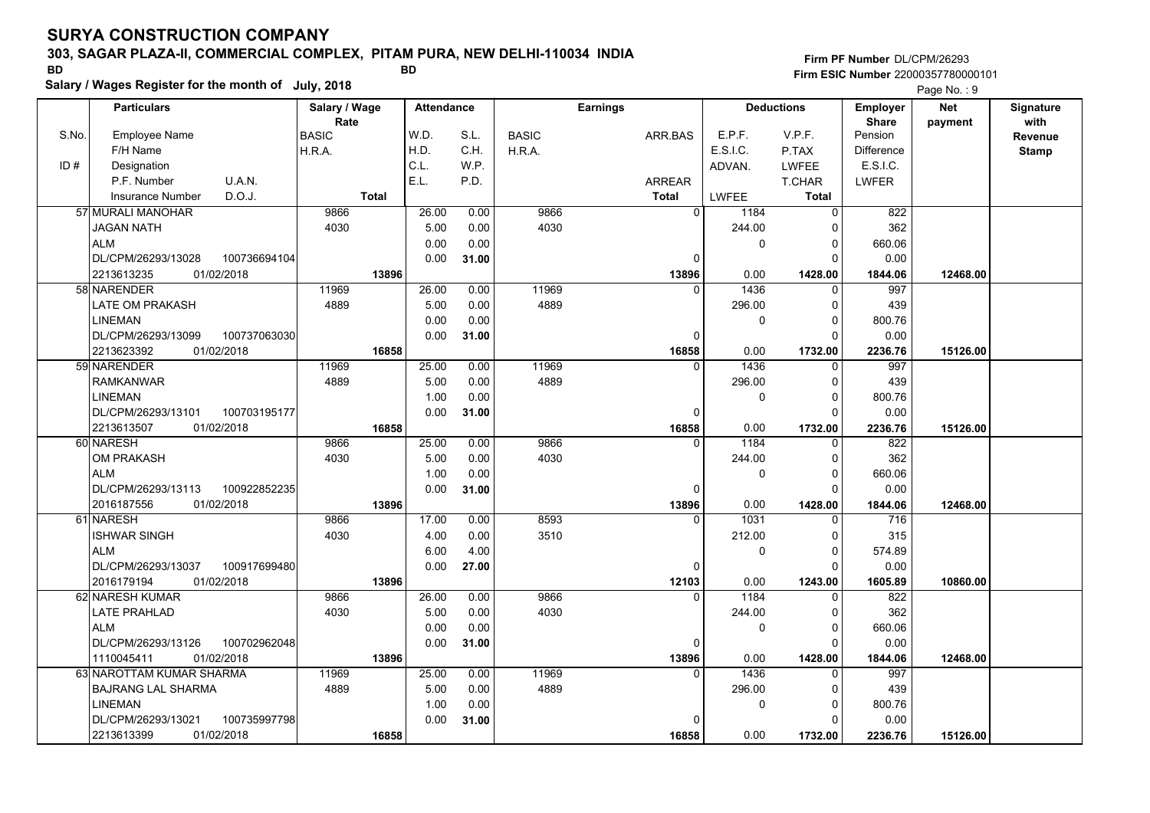## **303, SAGAR PLAZA-II, COMMERCIAL COMPLEX, PITAM PURA, NEW DELHI-110034 INDIA**

**Salary / Wages Register for the month of July, 2018 BD BD**

**Firm PF Number**DL/CPM/26293**Firm ESIC Number** 22000357780000101

|       | <b>Particulars</b>                 | Salary / Wage        | <b>Attendance</b> |       |              | <b>Earnings</b> |                  | <b>Deductions</b> | <b>Employer</b>         | <b>Net</b> | Signature       |
|-------|------------------------------------|----------------------|-------------------|-------|--------------|-----------------|------------------|-------------------|-------------------------|------------|-----------------|
| S.No. | Employee Name                      | Rate<br><b>BASIC</b> | W.D.              | S.L.  | <b>BASIC</b> | ARR.BAS         | E.P.F.           | V.P.F.            | <b>Share</b><br>Pension | payment    | with<br>Revenue |
|       | F/H Name                           | H.R.A.               | H.D.              | C.H.  | H.R.A.       |                 | E.S.I.C.         | P.TAX             | <b>Difference</b>       |            | <b>Stamp</b>    |
| ID#   | Designation                        |                      | C.L.              | W.P.  |              |                 | ADVAN.           | <b>LWFEE</b>      | E.S.I.C.                |            |                 |
|       | U.A.N.<br>P.F. Number              |                      | E.L.              | P.D.  |              | ARREAR          |                  | T.CHAR            | <b>LWFER</b>            |            |                 |
|       | D.O.J.<br><b>Insurance Number</b>  | <b>Total</b>         |                   |       |              | <b>Total</b>    | <b>LWFEE</b>     | Total             |                         |            |                 |
|       | 57 MURALI MANOHAR                  | 9866                 | 26.00             | 0.00  | 9866         |                 | 0 <br>1184       | $\mathbf 0$       | 822                     |            |                 |
|       | <b>JAGAN NATH</b>                  | 4030                 | 5.00              | 0.00  | 4030         |                 | 244.00           | $\Omega$          | 362                     |            |                 |
|       | <b>ALM</b>                         |                      | 0.00              | 0.00  |              |                 | 0                | $\Omega$          | 660.06                  |            |                 |
|       | 100736694104<br>DL/CPM/26293/13028 |                      | 0.00              | 31.00 |              |                 | 0                | $\Omega$          | 0.00                    |            |                 |
|       | 01/02/2018<br>2213613235           | 13896                |                   |       |              | 13896           | 0.00             | 1428.00           | 1844.06                 | 12468.00   |                 |
|       | 58 NARENDER                        | 11969                | 26.00             | 0.00  | 11969        |                 | 1436<br>$\Omega$ | $\Omega$          | 997                     |            |                 |
|       | <b>LATE OM PRAKASH</b>             | 4889                 | 5.00              | 0.00  | 4889         |                 | 296.00           | $\Omega$          | 439                     |            |                 |
|       | <b>LINEMAN</b>                     |                      | 0.00              | 0.00  |              |                 | 0                | $\Omega$          | 800.76                  |            |                 |
|       | DL/CPM/26293/13099<br>100737063030 |                      | 0.00              | 31.00 |              |                 | $\Omega$         | $\Omega$          | 0.00                    |            |                 |
|       | 2213623392<br>01/02/2018           | 16858                |                   |       |              | 16858           | 0.00             | 1732.00           | 2236.76                 | 15126.00   |                 |
|       | 59 NARENDER                        | 11969                | 25.00             | 0.00  | 11969        |                 | 1436<br>$\Omega$ | $\Omega$          | 997                     |            |                 |
|       | <b>RAMKANWAR</b>                   | 4889                 | 5.00              | 0.00  | 4889         |                 | 296.00           | $\Omega$          | 439                     |            |                 |
|       | <b>LINEMAN</b>                     |                      | 1.00              | 0.00  |              |                 | 0                | $\Omega$          | 800.76                  |            |                 |
|       | DL/CPM/26293/13101<br>100703195177 |                      | 0.00              | 31.00 |              |                 | 0                | $\Omega$          | 0.00                    |            |                 |
|       | 2213613507<br>01/02/2018           | 16858                |                   |       |              | 16858           | 0.00             | 1732.00           | 2236.76                 | 15126.00   |                 |
|       | 60 NARESH                          | 9866                 | 25.00             | 0.00  | 9866         |                 | 1184<br>$\Omega$ | $\Omega$          | 822                     |            |                 |
|       | <b>OM PRAKASH</b>                  | 4030                 | 5.00              | 0.00  | 4030         |                 | 244.00           | $\mathbf 0$       | 362                     |            |                 |
|       | <b>ALM</b>                         |                      | 1.00              | 0.00  |              |                 | 0                | $\Omega$          | 660.06                  |            |                 |
|       | DL/CPM/26293/13113<br>100922852235 |                      | 0.00              | 31.00 |              |                 | 0                | $\Omega$          | 0.00                    |            |                 |
|       | 01/02/2018<br>2016187556           | 13896                |                   |       |              | 13896           | 0.00             | 1428.00           | 1844.06                 | 12468.00   |                 |
|       | 61 NARESH                          | 9866                 | 17.00             | 0.00  | 8593         |                 | 1031<br>$\Omega$ | $\Omega$          | 716                     |            |                 |
|       | <b>ISHWAR SINGH</b>                | 4030                 | 4.00              | 0.00  | 3510         |                 | 212.00           | $\Omega$          | 315                     |            |                 |
|       | <b>ALM</b>                         |                      | 6.00              | 4.00  |              |                 | 0                | $\mathbf 0$       | 574.89                  |            |                 |
|       | 100917699480<br>DL/CPM/26293/13037 |                      | 0.00              | 27.00 |              |                 | 0                | $\Omega$          | 0.00                    |            |                 |
|       | 01/02/2018<br>2016179194           | 13896                |                   |       |              | 12103           | 0.00             | 1243.00           | 1605.89                 | 10860.00   |                 |
|       | 62 NARESH KUMAR                    | 9866                 | 26.00             | 0.00  | 9866         |                 | 1184<br>$\Omega$ | $\Omega$          | 822                     |            |                 |
|       | <b>LATE PRAHLAD</b>                | 4030                 | 5.00              | 0.00  | 4030         |                 | 244.00           | $\Omega$          | 362                     |            |                 |
|       | <b>ALM</b>                         |                      | 0.00              | 0.00  |              |                 | 0                | $\Omega$          | 660.06                  |            |                 |
|       | 100702962048<br>DL/CPM/26293/13126 |                      | 0.00              | 31.00 |              |                 | 0                | $\Omega$          | 0.00                    |            |                 |
|       | 1110045411<br>01/02/2018           | 13896                |                   |       |              | 13896           | 0.00             | 1428.00           | 1844.06                 | 12468.00   |                 |
|       | 63 NAROTTAM KUMAR SHARMA           | 11969                | 25.00             | 0.00  | 11969        |                 | 1436<br>$\Omega$ | $\mathbf 0$       | 997                     |            |                 |
|       | BAJRANG LAL SHARMA                 | 4889                 | 5.00              | 0.00  | 4889         |                 | 296.00           | 0                 | 439                     |            |                 |
|       | <b>LINEMAN</b>                     |                      | 1.00              | 0.00  |              |                 | 0                | $\Omega$          | 800.76                  |            |                 |
|       | DL/CPM/26293/13021<br>100735997798 |                      | 0.00              | 31.00 |              |                 | 0                | $\Omega$          | 0.00                    |            |                 |
|       | 2213613399<br>01/02/2018           | 16858                |                   |       |              | 16858           | 0.00             | 1732.00           | 2236.76                 | 15126.00   |                 |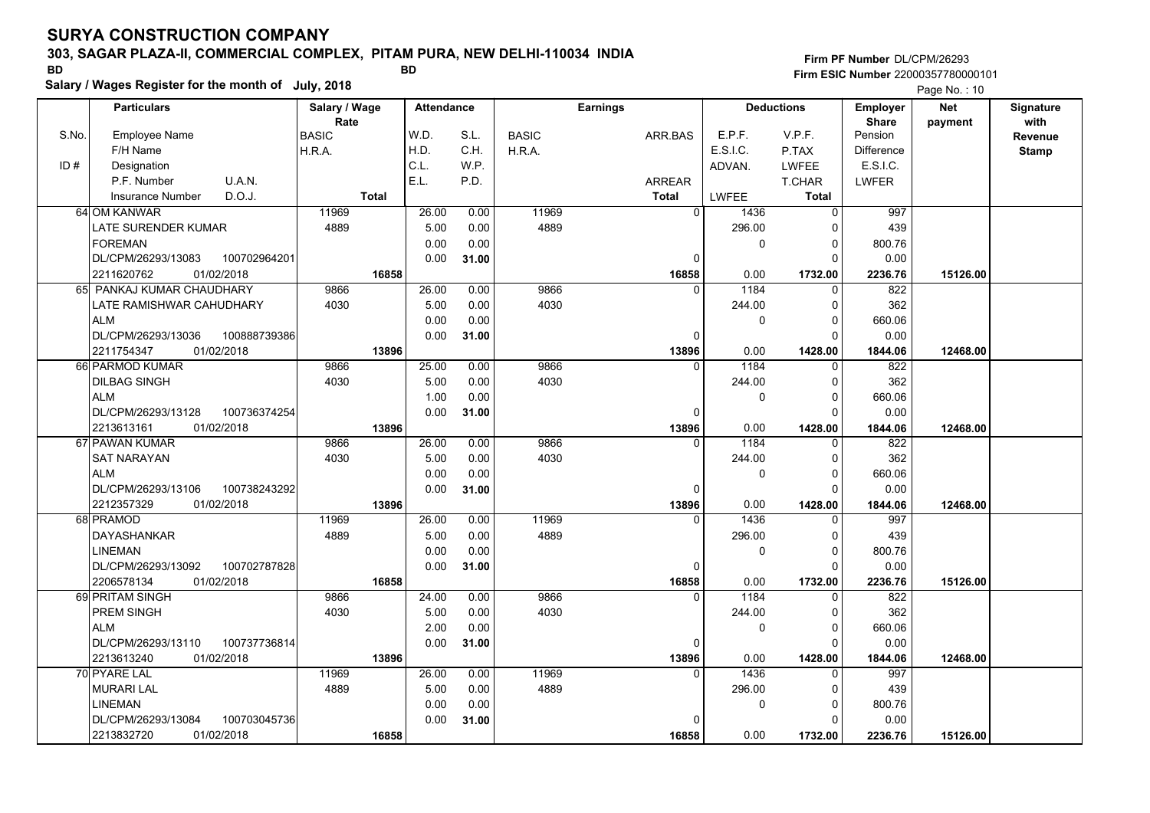### **303, SAGAR PLAZA-II, COMMERCIAL COMPLEX, PITAM PURA, NEW DELHI-110034 INDIA**

**Salary / Wages Register for the month of July, 2018 BD BD**

## **Firm PF Number**DL/CPM/26293**Firm ESIC Number** 22000357780000101

|       | <b>Particulars</b>                 | Salary / Wage        | <b>Attendance</b> |       |              | <b>Earnings</b> |                        | <b>Deductions</b> | <b>Employer</b>         | <b>Net</b> | Signature       |
|-------|------------------------------------|----------------------|-------------------|-------|--------------|-----------------|------------------------|-------------------|-------------------------|------------|-----------------|
| S.No. | Employee Name                      | Rate<br><b>BASIC</b> | W.D.              | S.L.  | <b>BASIC</b> | ARR.BAS         | E.P.F.                 | V.P.F.            | <b>Share</b><br>Pension | payment    | with<br>Revenue |
|       | F/H Name                           | H.R.A.               | H.D.              | C.H.  | H.R.A.       |                 | E.S.I.C.               | P.TAX             | <b>Difference</b>       |            | <b>Stamp</b>    |
| ID#   | Designation                        |                      | C.L.              | W.P.  |              |                 | ADVAN.                 | LWFEE             | E.S.I.C.                |            |                 |
|       | P.F. Number<br>U.A.N.              |                      | E.L.              | P.D.  |              | <b>ARREAR</b>   |                        | <b>T.CHAR</b>     | <b>LWFER</b>            |            |                 |
|       | D.O.J.<br><b>Insurance Number</b>  | <b>Total</b>         |                   |       |              | <b>Total</b>    | <b>LWFEE</b>           | <b>Total</b>      |                         |            |                 |
|       | 64 OM KANWAR                       | 11969                | 26.00             | 0.00  | 11969        |                 | $\overline{0}$<br>1436 | $\Omega$          | 997                     |            |                 |
|       | LATE SURENDER KUMAR                | 4889                 | 5.00              | 0.00  | 4889         |                 | 296.00                 | 0                 | 439                     |            |                 |
|       | <b>FOREMAN</b>                     |                      | 0.00              | 0.00  |              |                 | 0                      | $\Omega$          | 800.76                  |            |                 |
|       | 100702964201<br>DL/CPM/26293/13083 |                      | 0.00              | 31.00 |              | $\Omega$        |                        | $\Omega$          | 0.00                    |            |                 |
|       | 01/02/2018<br>2211620762           | 16858                |                   |       |              | 16858           | 0.00                   | 1732.00           | 2236.76                 | 15126.00   |                 |
|       | 65 PANKAJ KUMAR CHAUDHARY          | 9866                 | 26.00             | 0.00  | 9866         | $\Omega$        | 1184                   | $\Omega$          | 822                     |            |                 |
|       | LATE RAMISHWAR CAHUDHARY           | 4030                 | 5.00              | 0.00  | 4030         |                 | 244.00                 | 0                 | 362                     |            |                 |
|       | <b>ALM</b>                         |                      | 0.00              | 0.00  |              |                 | 0                      | $\Omega$          | 660.06                  |            |                 |
|       | DL/CPM/26293/13036<br>100888739386 |                      | 0.00              | 31.00 |              | 0               |                        | $\Omega$          | 0.00                    |            |                 |
|       | 2211754347<br>01/02/2018           | 13896                |                   |       |              | 13896           | 0.00                   | 1428.00           | 1844.06                 | 12468.00   |                 |
|       | 66 PARMOD KUMAR                    | 9866                 | 25.00             | 0.00  | 9866         |                 | 1184<br>$\Omega$       | $\Omega$          | 822                     |            |                 |
|       | <b>DILBAG SINGH</b>                | 4030                 | 5.00              | 0.00  | 4030         |                 | 244.00                 | $\Omega$          | 362                     |            |                 |
|       | <b>ALM</b>                         |                      | 1.00              | 0.00  |              |                 | 0                      | $\mathbf 0$       | 660.06                  |            |                 |
|       | DL/CPM/26293/13128<br>100736374254 |                      | 0.00              | 31.00 |              | $\Omega$        |                        | $\Omega$          | 0.00                    |            |                 |
|       | 01/02/2018<br>2213613161           | 13896                |                   |       |              | 13896           | 0.00                   | 1428.00           | 1844.06                 | 12468.00   |                 |
|       | 67 PAWAN KUMAR                     | 9866                 | 26.00             | 0.00  | 9866         | 0               | 1184                   | 0                 | 822                     |            |                 |
|       | <b>SAT NARAYAN</b>                 | 4030                 | 5.00              | 0.00  | 4030         |                 | 244.00                 | $\Omega$          | 362                     |            |                 |
|       | <b>ALM</b>                         |                      | 0.00              | 0.00  |              |                 | 0                      | $\Omega$          | 660.06                  |            |                 |
|       | DL/CPM/26293/13106<br>100738243292 |                      | 0.00              | 31.00 |              | $\Omega$        |                        | $\Omega$          | 0.00                    |            |                 |
|       | 2212357329<br>01/02/2018           | 13896                |                   |       |              | 13896           | 0.00                   | 1428.00           | 1844.06                 | 12468.00   |                 |
|       | 68 PRAMOD                          | 11969                | 26.00             | 0.00  | 11969        | $\Omega$        | 1436                   | $\Omega$          | 997                     |            |                 |
|       | <b>DAYASHANKAR</b>                 | 4889                 | 5.00              | 0.00  | 4889         |                 | 296.00                 | $\Omega$          | 439                     |            |                 |
|       | <b>LINEMAN</b>                     |                      | 0.00              | 0.00  |              |                 | 0                      | $\Omega$          | 800.76                  |            |                 |
|       | DL/CPM/26293/13092<br>100702787828 |                      | 0.00              | 31.00 |              | $\Omega$        |                        | $\Omega$          | 0.00                    |            |                 |
|       | 01/02/2018<br>2206578134           | 16858                |                   |       |              | 16858           | 0.00                   | 1732.00           | 2236.76                 | 15126.00   |                 |
|       | 69 PRITAM SINGH                    | 9866                 | 24.00             | 0.00  | 9866         | $\Omega$        | 1184                   | O                 | 822                     |            |                 |
|       | PREM SINGH                         | 4030                 | 5.00              | 0.00  | 4030         |                 | 244.00                 | $\Omega$          | 362                     |            |                 |
|       | <b>ALM</b>                         |                      | 2.00              | 0.00  |              |                 | 0                      | $\mathbf 0$       | 660.06                  |            |                 |
|       | 100737736814<br>DL/CPM/26293/13110 |                      | 0.00              | 31.00 |              | 0               |                        | $\Omega$          | 0.00                    |            |                 |
|       | 01/02/2018<br>2213613240           | 13896                |                   |       |              | 13896           | 0.00                   | 1428.00           | 1844.06                 | 12468.00   |                 |
|       | 70 PYARE LAL                       | 11969                | 26.00             | 0.00  | 11969        |                 | 1436<br>$\Omega$       | $\Omega$          | 997                     |            |                 |
|       | <b>MURARI LAL</b>                  | 4889                 | 5.00              | 0.00  | 4889         |                 | 296.00                 | 0                 | 439                     |            |                 |
|       | <b>LINEMAN</b>                     |                      | 0.00              | 0.00  |              |                 | 0                      | $\mathbf 0$       | 800.76                  |            |                 |
|       | 100703045736<br>DL/CPM/26293/13084 |                      | 0.00              | 31.00 |              |                 |                        | $\Omega$          | 0.00                    |            |                 |
|       | 2213832720<br>01/02/2018           | 16858                |                   |       |              | 16858           | 0.00                   | 1732.00           | 2236.76                 | 15126.00   |                 |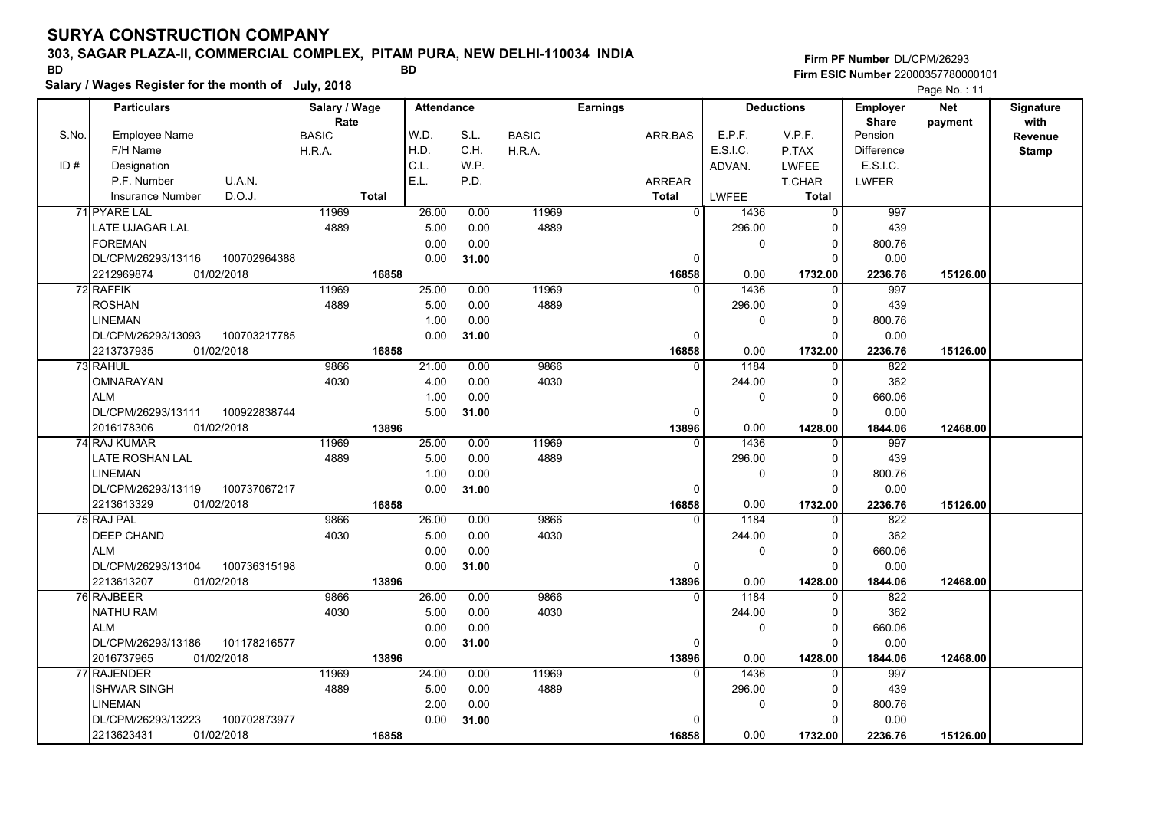## **303, SAGAR PLAZA-II, COMMERCIAL COMPLEX, PITAM PURA, NEW DELHI-110034 INDIA**

| <b>BD</b> |                                                     | <b>BD</b>             |                   | Firm ESIC Number 22000357780000101 |              |                 |              |                   |                          |                       |                   |
|-----------|-----------------------------------------------------|-----------------------|-------------------|------------------------------------|--------------|-----------------|--------------|-------------------|--------------------------|-----------------------|-------------------|
|           | Salary / Wages Register for the month of July, 2018 |                       |                   |                                    |              |                 |              |                   |                          | Page No.: 11          |                   |
|           | <b>Particulars</b>                                  | Salary / Wage<br>Rate | <b>Attendance</b> |                                    |              | <b>Earnings</b> |              | <b>Deductions</b> | Employer<br><b>Share</b> | <b>Net</b><br>payment | Signature<br>with |
| S.No.     | <b>Employee Name</b>                                | <b>BASIC</b>          | W.D.              | S.L.                               | <b>BASIC</b> | ARR.BAS         | E.P.F.       | V.P.F.            | Pension                  |                       | Revenue           |
|           | F/H Name                                            | H.R.A.                | H.D.              | C.H.                               | H.R.A.       |                 | E.S.I.C.     | P.TAX             | Difference               |                       | <b>Stamp</b>      |
| ID#       | Designation                                         |                       | C.L.              | W.P.                               |              |                 | ADVAN.       | <b>LWFEE</b>      | E.S.I.C.                 |                       |                   |
|           | U.A.N.<br>P.F. Number                               |                       | E.L.              | P.D.                               |              | <b>ARREAR</b>   |              | T.CHAR            | <b>LWFER</b>             |                       |                   |
|           | D.O.J.<br><b>Insurance Number</b>                   | <b>Total</b>          |                   |                                    |              | <b>Total</b>    | <b>LWFEE</b> | <b>Total</b>      |                          |                       |                   |
|           | 71 PYARE LAL                                        | 11969                 | 26.00             | 0.00                               | 11969        | $\mathbf 0$     | 1436         | $\mathbf 0$       | 997                      |                       |                   |
|           | LATE UJAGAR LAL                                     | 4889                  | 5.00              | 0.00                               | 4889         |                 | 296.00       | $\Omega$          | 439                      |                       |                   |
|           | <b>FOREMAN</b>                                      |                       | 0.00              | 0.00                               |              |                 | $\Omega$     | 0                 | 800.76                   |                       |                   |
|           | DL/CPM/26293/13116<br>100702964388                  |                       | 0.00              | 31.00                              |              | 0               |              | $\Omega$          | 0.00                     |                       |                   |
|           | 2212969874<br>01/02/2018                            | 16858                 |                   |                                    |              | 16858           | 0.00         | 1732.00           | 2236.76                  | 15126.00              |                   |
|           | 72 RAFFIK                                           | 11969                 | 25.00             | 0.00                               | 11969        | $\Omega$        | 1436         | $\Omega$          | 997                      |                       |                   |
|           | <b>ROSHAN</b>                                       | 4889                  | 5.00              | 0.00                               | 4889         |                 | 296.00       | $\Omega$          | 439                      |                       |                   |
|           | <b>LINEMAN</b>                                      |                       | 1.00              | 0.00                               |              |                 | 0            | $\Omega$          | 800.76                   |                       |                   |
|           | DL/CPM/26293/13093<br>100703217785                  |                       | 0.00              | 31.00                              |              | $\mathbf 0$     |              | $\Omega$          | 0.00                     |                       |                   |
|           | 2213737935<br>01/02/2018                            | 16858                 |                   |                                    |              | 16858           | 0.00         | 1732.00           | 2236.76                  | 15126.00              |                   |
|           | 73 RAHUL                                            | 9866                  | 21.00             | 0.00                               | 9866         | $\Omega$        | 1184         | $\Omega$          | 822                      |                       |                   |
|           | OMNARAYAN                                           | 4030                  | 4.00              | 0.00                               | 4030         |                 | 244.00       | $\Omega$          | 362                      |                       |                   |
|           | <b>ALM</b>                                          |                       | 1.00              | 0.00                               |              |                 | $\Omega$     | $\Omega$          | 660.06                   |                       |                   |
|           | DL/CPM/26293/13111<br>100922838744                  |                       | 5.00              | 31.00                              |              | 0               |              | $\Omega$          | 0.00                     |                       |                   |
|           | 2016178306<br>01/02/2018                            | 13896                 |                   |                                    |              | 13896           | 0.00         | 1428.00           | 1844.06                  | 12468.00              |                   |
|           | 74 RAJ KUMAR                                        | 11969                 | 25.00             | 0.00                               | 11969        | $\Omega$        | 1436         | $\Omega$          | $\overline{997}$         |                       |                   |
|           | <b>LATE ROSHAN LAL</b>                              | 4889                  | 5.00              | 0.00                               | 4889         |                 | 296.00       | 0                 | 439                      |                       |                   |
|           | <b>LINEMAN</b>                                      |                       | 1.00              | 0.00                               |              |                 | $\mathbf 0$  | $\Omega$          | 800.76                   |                       |                   |
|           | DL/CPM/26293/13119<br>100737067217                  |                       | 0.00              | 31.00                              |              | 0               |              | $\Omega$          | 0.00                     |                       |                   |
|           | 2213613329<br>01/02/2018                            | 16858                 |                   |                                    |              | 16858           | 0.00         | 1732.00           | 2236.76                  | 15126.00              |                   |
|           | 75 RAJ PAL                                          | 9866                  | 26.00             | 0.00                               | 9866         | $\mathbf{0}$    | 1184         | $\mathbf{0}$      | 822                      |                       |                   |
|           | <b>DEEP CHAND</b>                                   | 4030                  | 5.00              | 0.00                               | 4030         |                 | 244.00       | $\Omega$          | 362                      |                       |                   |
|           | <b>ALM</b>                                          |                       | 0.00              | 0.00                               |              |                 | $\mathbf{0}$ | $\Omega$          | 660.06                   |                       |                   |
|           | DL/CPM/26293/13104<br>100736315198                  |                       | 0.00              | 31.00                              |              | 0               |              | $\Omega$          | 0.00                     |                       |                   |
|           | 2213613207<br>01/02/2018                            | 13896                 |                   |                                    |              | 13896           | 0.00         | 1428.00           | 1844.06                  | 12468.00              |                   |
|           | 76 RAJBEER                                          | 9866                  | 26.00             | 0.00                               | 9866         | $\Omega$        | 1184         | $\Omega$          | 822                      |                       |                   |
|           | <b>NATHU RAM</b>                                    | 4030                  | 5.00              | 0.00                               | 4030         |                 | 244.00       | $\Omega$          | 362                      |                       |                   |
|           | <b>ALM</b>                                          |                       | 0.00              | 0.00                               |              |                 | $\mathbf{0}$ | 0                 | 660.06                   |                       |                   |
|           | DL/CPM/26293/13186<br>101178216577                  |                       | 0.00              | 31.00                              |              | 0               |              | $\Omega$          | 0.00                     |                       |                   |
|           | 2016737965<br>01/02/2018                            | 13896                 |                   |                                    |              | 13896           | 0.00         | 1428.00           | 1844.06                  | 12468.00              |                   |
|           | 77 RAJENDER                                         | 11969                 | 24.00             | 0.00                               | 11969        | $\Omega$        | 1436         | $\Omega$          | 997                      |                       |                   |
|           | <b>ISHWAR SINGH</b>                                 | 4889                  | 5.00              | 0.00                               | 4889         |                 | 296.00       | $\Omega$          | 439                      |                       |                   |
|           | <b>LINEMAN</b>                                      |                       | 2.00              | 0.00                               |              |                 | $\Omega$     | $\Omega$          | 800.76                   |                       |                   |
|           | DL/CPM/26293/13223<br>100702873977                  |                       | 0.00              | 31.00                              |              | 0               |              |                   | 0.00                     |                       |                   |
|           | 2213623431<br>01/02/2018                            | 16858                 |                   |                                    |              | 16858           | 0.00         | 1732.00           | 2236.76                  | 15126.00              |                   |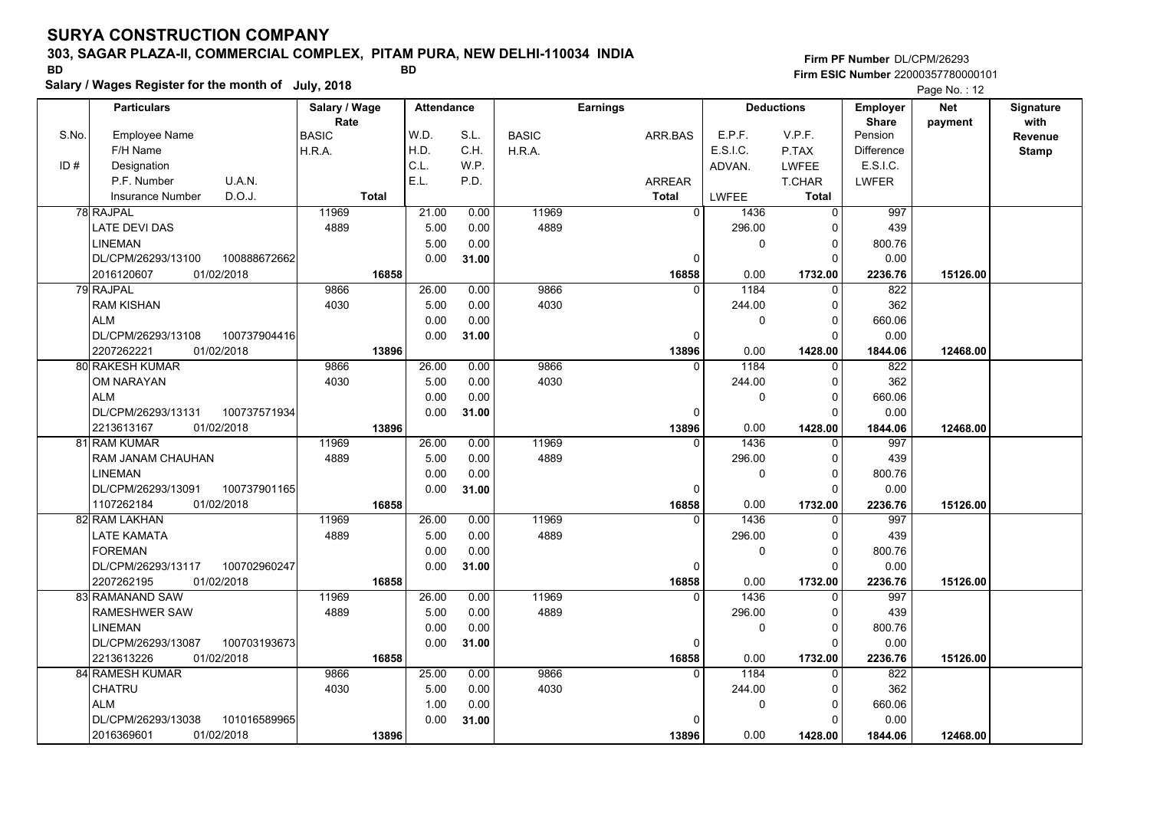### **303, SAGAR PLAZA-II, COMMERCIAL COMPLEX, PITAM PURA, NEW DELHI-110034 INDIA**

**Salary / Wages Register for the month of July, 2018 BD BD**

## **Firm PF Number**DL/CPM/26293**Firm ESIC Number** 22000357780000101

|       | <b>Particulars</b>                 | Salary / Wage        | <b>Attendance</b> |       |              | <b>Earnings</b> |                  | <b>Deductions</b> | <b>Employer</b>         | <b>Net</b> | Signature       |
|-------|------------------------------------|----------------------|-------------------|-------|--------------|-----------------|------------------|-------------------|-------------------------|------------|-----------------|
| S.No. | <b>Employee Name</b>               | Rate<br><b>BASIC</b> | W.D.              | S.L.  | <b>BASIC</b> | ARR.BAS         | E.P.F.           | V.P.F.            | <b>Share</b><br>Pension | payment    | with<br>Revenue |
|       | F/H Name                           | H.R.A.               | H.D.              | C.H.  | H.R.A.       |                 | E.S.I.C.         | P.TAX             | <b>Difference</b>       |            | <b>Stamp</b>    |
| ID#   | Designation                        |                      | C.L.              | W.P.  |              |                 | ADVAN.           | <b>LWFEE</b>      | E.S.I.C.                |            |                 |
|       | P.F. Number<br>U.A.N.              |                      | E.L.              | P.D.  |              | <b>ARREAR</b>   |                  | T.CHAR            | LWFER                   |            |                 |
|       | D.O.J.<br><b>Insurance Number</b>  | <b>Total</b>         |                   |       |              | <b>Total</b>    | LWFEE            | Total             |                         |            |                 |
|       |                                    |                      |                   |       |              |                 | $\overline{0}$   |                   |                         |            |                 |
|       | 78 RAJPAL                          | 11969                | 21.00             | 0.00  | 11969        |                 | 1436             | 0                 | 997                     |            |                 |
|       | <b>LATE DEVI DAS</b>               | 4889                 | 5.00              | 0.00  | 4889         |                 | 296.00           | 0                 | 439                     |            |                 |
|       | <b>LINEMAN</b>                     |                      | 5.00              | 0.00  |              |                 | 0                | $\mathbf 0$       | 800.76                  |            |                 |
|       | DL/CPM/26293/13100<br>100888672662 |                      | 0.00              | 31.00 |              |                 | 0                | $\Omega$          | 0.00                    |            |                 |
|       | 01/02/2018<br>2016120607           | 16858                |                   |       |              | 16858           | 0.00             | 1732.00           | 2236.76                 | 15126.00   |                 |
|       | 79 RAJPAL                          | 9866                 | 26.00             | 0.00  | 9866         |                 | 1184<br>$\Omega$ | $\mathbf 0$       | 822                     |            |                 |
|       | <b>RAM KISHAN</b>                  | 4030                 | 5.00              | 0.00  | 4030         |                 | 244.00           | $\mathbf 0$       | 362                     |            |                 |
|       | <b>ALM</b>                         |                      | 0.00              | 0.00  |              |                 | 0                | $\mathbf 0$       | 660.06                  |            |                 |
|       | 100737904416<br>DL/CPM/26293/13108 |                      | 0.00              | 31.00 |              |                 | 0                | $\Omega$          | 0.00                    |            |                 |
|       | 2207262221<br>01/02/2018           | 13896                |                   |       |              | 13896           | 0.00             | 1428.00           | 1844.06                 | 12468.00   |                 |
|       | 80 RAKESH KUMAR                    | 9866                 | 26.00             | 0.00  | 9866         |                 | 1184<br>$\Omega$ | 0                 | 822                     |            |                 |
|       | OM NARAYAN                         | 4030                 | 5.00              | 0.00  | 4030         |                 | 244.00           | $\Omega$          | 362                     |            |                 |
|       | <b>ALM</b>                         |                      | 0.00              | 0.00  |              |                 | 0                | $\mathbf 0$       | 660.06                  |            |                 |
|       | 100737571934<br>DL/CPM/26293/13131 |                      | 0.00              | 31.00 |              |                 | $\Omega$         | $\Omega$          | 0.00                    |            |                 |
|       | 2213613167<br>01/02/2018           | 13896                |                   |       |              | 13896           | 0.00             | 1428.00           | 1844.06                 | 12468.00   |                 |
|       | 81 RAM KUMAR                       | 11969                | 26.00             | 0.00  | 11969        |                 | 1436<br>$\Omega$ | 0                 | 997                     |            |                 |
|       | RAM JANAM CHAUHAN                  | 4889                 | 5.00              | 0.00  | 4889         |                 | 296.00           | 0                 | 439                     |            |                 |
|       | <b>LINEMAN</b>                     |                      | 0.00              | 0.00  |              |                 | 0                | $\Omega$          | 800.76                  |            |                 |
|       | DL/CPM/26293/13091<br>100737901165 |                      | 0.00              | 31.00 |              |                 | 0                | $\Omega$          | 0.00                    |            |                 |
|       | 1107262184<br>01/02/2018           | 16858                |                   |       |              | 16858           | 0.00             | 1732.00           | 2236.76                 | 15126.00   |                 |
|       | 82 RAM LAKHAN                      | 11969                | 26.00             | 0.00  | 11969        |                 | 1436<br>$\Omega$ | $\Omega$          | 997                     |            |                 |
|       | LATE KAMATA                        | 4889                 | 5.00              | 0.00  | 4889         |                 | 296.00           | $\Omega$          | 439                     |            |                 |
|       | <b>FOREMAN</b>                     |                      | 0.00              | 0.00  |              |                 | 0                | $\mathbf 0$       | 800.76                  |            |                 |
|       | 100702960247<br>DL/CPM/26293/13117 |                      | 0.00              | 31.00 |              |                 | 0                | $\Omega$          | 0.00                    |            |                 |
|       | 2207262195<br>01/02/2018           | 16858                |                   |       |              | 16858           | 0.00             | 1732.00           | 2236.76                 | 15126.00   |                 |
|       | 83 RAMANAND SAW                    | 11969                | 26.00             | 0.00  | 11969        |                 | 1436<br>$\Omega$ | 0                 | 997                     |            |                 |
|       | RAMESHWER SAW                      | 4889                 | 5.00              | 0.00  | 4889         |                 | 296.00           | 0                 | 439                     |            |                 |
|       | <b>LINEMAN</b>                     |                      | 0.00              | 0.00  |              |                 | 0                | $\mathbf 0$       | 800.76                  |            |                 |
|       | DL/CPM/26293/13087<br>100703193673 |                      | 0.00              | 31.00 |              |                 | 0                | $\Omega$          | 0.00                    |            |                 |
|       | 01/02/2018<br>2213613226           | 16858                |                   |       |              | 16858           | 0.00             | 1732.00           | 2236.76                 | 15126.00   |                 |
|       | 84 RAMESH KUMAR                    | 9866                 | 25.00             | 0.00  | 9866         |                 | 1184<br>0        | 0                 | 822                     |            |                 |
|       | <b>CHATRU</b>                      | 4030                 | 5.00              | 0.00  | 4030         |                 | 244.00           | $\mathbf 0$       | 362                     |            |                 |
|       | <b>ALM</b>                         |                      | 1.00              | 0.00  |              |                 | 0                | $\mathbf 0$       | 660.06                  |            |                 |
|       | DL/CPM/26293/13038<br>101016589965 |                      | 0.00              | 31.00 |              |                 | O                | $\Omega$          | 0.00                    |            |                 |
|       | 2016369601<br>01/02/2018           | 13896                |                   |       |              | 13896           | 0.00             | 1428.00           | 1844.06                 | 12468.00   |                 |
|       |                                    |                      |                   |       |              |                 |                  |                   |                         |            |                 |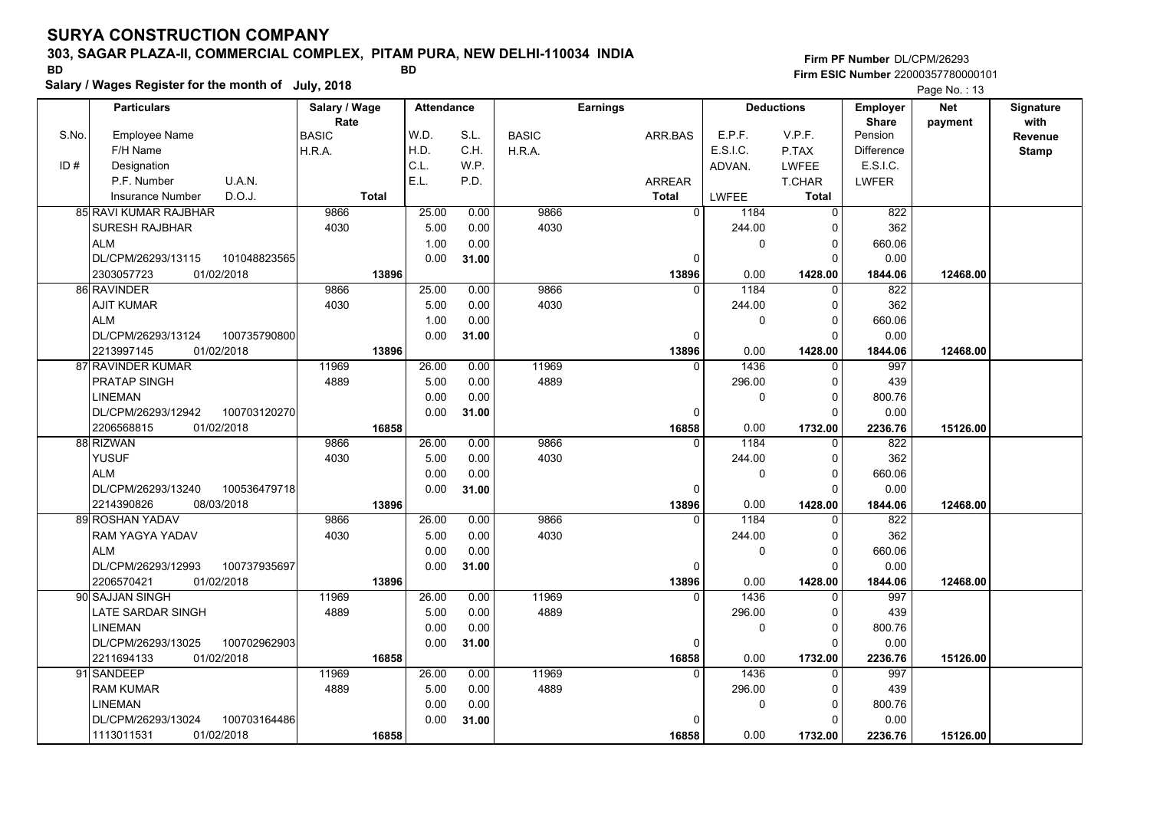## **303, SAGAR PLAZA-II, COMMERCIAL COMPLEX, PITAM PURA, NEW DELHI-110034 INDIA**

**Salary / Wages Register for the month of July, 2018 BD BD**

## **Firm PF Number**DL/CPM/26293**Firm ESIC Number** 22000357780000101

|       | <b>Particulars</b>                 | Salary / Wage<br>Rate | <b>Attendance</b> |       |              | <b>Earnings</b> |                        | <b>Deductions</b> |                         | <b>Net</b> | Signature<br>with |
|-------|------------------------------------|-----------------------|-------------------|-------|--------------|-----------------|------------------------|-------------------|-------------------------|------------|-------------------|
| S.No. | Employee Name                      | <b>BASIC</b>          | W.D.              | S.L.  | <b>BASIC</b> | ARR.BAS         | E.P.F.                 | V.P.F.            | <b>Share</b><br>Pension | payment    | Revenue           |
|       | F/H Name                           | H.R.A.                | H.D.              | C.H.  | H.R.A.       |                 | E.S.I.C.               | P.TAX             | <b>Difference</b>       |            | <b>Stamp</b>      |
| ID#   | Designation                        |                       | C.L.              | W.P.  |              |                 | ADVAN.                 | <b>LWFEE</b>      | E.S.I.C.                |            |                   |
|       | U.A.N.<br>P.F. Number              |                       | E.L.              | P.D.  |              | <b>ARREAR</b>   |                        | T.CHAR            | <b>LWFER</b>            |            |                   |
|       | D.O.J.<br>Insurance Number         | <b>Total</b>          |                   |       |              | <b>Total</b>    | <b>LWFEE</b>           | <b>Total</b>      |                         |            |                   |
|       | 85 RAVI KUMAR RAJBHAR              | 9866                  | 25.00             | 0.00  | 9866         |                 | $\overline{0}$<br>1184 | $\mathbf 0$       | 822                     |            |                   |
|       | <b>SURESH RAJBHAR</b>              | 4030                  | 5.00              | 0.00  | 4030         |                 | 244.00                 | 0                 | 362                     |            |                   |
|       | <b>ALM</b>                         |                       | 1.00              | 0.00  |              |                 | 0                      | 0                 | 660.06                  |            |                   |
|       | DL/CPM/26293/13115<br>101048823565 |                       | 0.00              | 31.00 |              | $\Omega$        |                        | $\Omega$          | 0.00                    |            |                   |
|       | 2303057723<br>01/02/2018           | 13896                 |                   |       |              | 13896           | 0.00                   | 1428.00           | 1844.06                 | 12468.00   |                   |
|       | 86 RAVINDER                        | 9866                  | 25.00             | 0.00  | 9866         |                 | 1184<br>$\Omega$       | 0                 | 822                     |            |                   |
|       | <b>AJIT KUMAR</b>                  | 4030                  | 5.00              | 0.00  | 4030         |                 | 244.00                 | $\mathbf 0$       | 362                     |            |                   |
|       | <b>ALM</b>                         |                       | 1.00              | 0.00  |              |                 | 0                      | $\mathbf 0$       | 660.06                  |            |                   |
|       | DL/CPM/26293/13124<br>100735790800 |                       | 0.00              | 31.00 |              | $\Omega$        |                        | 0                 | 0.00                    |            |                   |
|       | 2213997145<br>01/02/2018           | 13896                 |                   |       |              | 13896           | 0.00                   | 1428.00           | 1844.06                 | 12468.00   |                   |
|       | 87 RAVINDER KUMAR                  | 11969                 | 26.00             | 0.00  | 11969        |                 | 1436<br>$\Omega$       | $\Omega$          | 997                     |            |                   |
|       | <b>PRATAP SINGH</b>                | 4889                  | 5.00              | 0.00  | 4889         |                 | 296.00                 | $\mathbf 0$       | 439                     |            |                   |
|       | <b>LINEMAN</b>                     |                       | 0.00              | 0.00  |              |                 | 0                      | $\mathbf 0$       | 800.76                  |            |                   |
|       | DL/CPM/26293/12942<br>100703120270 |                       | 0.00              | 31.00 |              | O               |                        | $\Omega$          | 0.00                    |            |                   |
|       | 2206568815<br>01/02/2018           | 16858                 |                   |       |              | 16858           | 0.00                   | 1732.00           | 2236.76                 | 15126.00   |                   |
|       | 88 RIZWAN                          | 9866                  | 26.00             | 0.00  | 9866         |                 | 1184<br>$\Omega$       | 0                 | 822                     |            |                   |
|       | <b>YUSUF</b>                       | 4030                  | 5.00              | 0.00  | 4030         |                 | 244.00                 | 0                 | 362                     |            |                   |
|       | <b>ALM</b>                         |                       | 0.00              | 0.00  |              |                 | 0                      | $\Omega$          | 660.06                  |            |                   |
|       | DL/CPM/26293/13240<br>100536479718 |                       | 0.00              | 31.00 |              | $\Omega$        |                        | $\Omega$          | 0.00                    |            |                   |
|       | 2214390826<br>08/03/2018           | 13896                 |                   |       |              | 13896           | 0.00                   | 1428.00           | 1844.06                 | 12468.00   |                   |
|       | 89 ROSHAN YADAV                    | 9866                  | 26.00             | 0.00  | 9866         |                 | 1184<br>$\Omega$       | $\Omega$          | 822                     |            |                   |
|       | <b>RAM YAGYA YADAV</b>             | 4030                  | 5.00              | 0.00  | 4030         |                 | 244.00                 | 0                 | 362                     |            |                   |
|       | <b>ALM</b>                         |                       | 0.00              | 0.00  |              |                 | 0                      | $\mathbf 0$       | 660.06                  |            |                   |
|       | DL/CPM/26293/12993<br>100737935697 |                       | 0.00              | 31.00 |              | 0               |                        | $\Omega$          | 0.00                    |            |                   |
|       | 2206570421<br>01/02/2018           | 13896                 |                   |       |              | 13896           | 0.00                   | 1428.00           | 1844.06                 | 12468.00   |                   |
|       | 90 SAJJAN SINGH                    | 11969                 | 26.00             | 0.00  | 11969        |                 | $\Omega$<br>1436       | $\Omega$          | 997                     |            |                   |
|       | LATE SARDAR SINGH                  | 4889                  | 5.00              | 0.00  | 4889         |                 | 296.00                 | 0                 | 439                     |            |                   |
|       | LINEMAN                            |                       | 0.00              | 0.00  |              |                 | 0                      | $\mathbf 0$       | 800.76                  |            |                   |
|       | 100702962903<br>DL/CPM/26293/13025 |                       | 0.00              | 31.00 |              | $\Omega$        |                        | $\Omega$          | 0.00                    |            |                   |
|       | 2211694133<br>01/02/2018           | 16858                 |                   |       |              | 16858           | 0.00                   | 1732.00           | 2236.76                 | 15126.00   |                   |
|       | 91 SANDEEP                         | 11969                 | 26.00             | 0.00  | 11969        |                 | 1436<br>$\Omega$       | $\Omega$          | 997                     |            |                   |
|       | <b>RAM KUMAR</b>                   | 4889                  | 5.00              | 0.00  | 4889         |                 | 296.00                 | $\Omega$          | 439                     |            |                   |
|       | <b>LINEMAN</b>                     |                       | 0.00              | 0.00  |              |                 | 0                      | $\mathbf 0$       | 800.76                  |            |                   |
|       | DL/CPM/26293/13024<br>100703164486 |                       | 0.00              | 31.00 |              |                 |                        | $\Omega$          | 0.00                    |            |                   |
|       | 01/02/2018<br>1113011531           | 16858                 |                   |       |              | 16858           | 0.00                   | 1732.00           | 2236.76                 | 15126.00   |                   |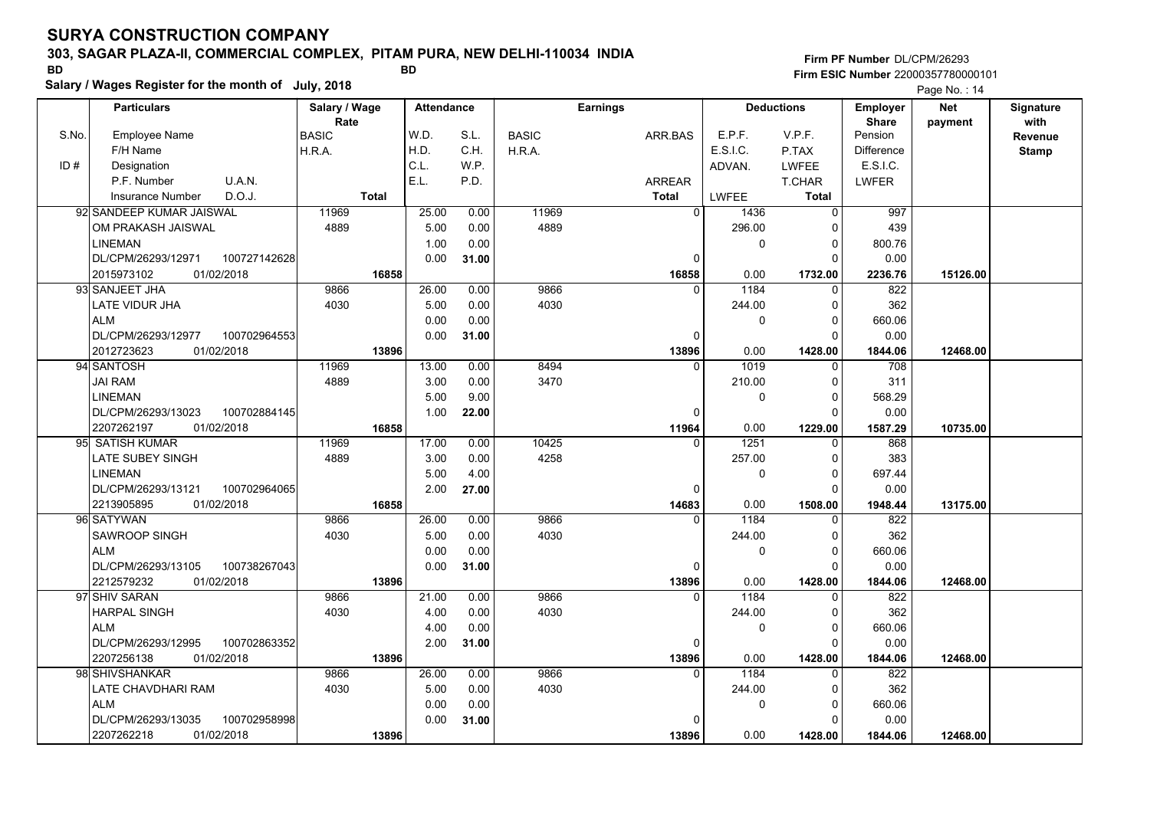## **303, SAGAR PLAZA-II, COMMERCIAL COMPLEX, PITAM PURA, NEW DELHI-110034 INDIA**

**Salary / Wages Register for the month of July, 2018 BD BD Firm PF Number**DL/CPM/26293**Firm ESIC Number** 22000357780000101

|       | <b>Particulars</b>                 | Salary / Wage<br>Rate |              | <b>Attendance</b> |       | <b>Earnings</b> |                | <b>Deductions</b> |                | <b>Employer</b><br><b>Share</b> | <b>Net</b> | Signature<br>with |
|-------|------------------------------------|-----------------------|--------------|-------------------|-------|-----------------|----------------|-------------------|----------------|---------------------------------|------------|-------------------|
| S.No. | <b>Employee Name</b>               | <b>BASIC</b>          |              | W.D.              | S.L.  | <b>BASIC</b>    | ARR.BAS        | E.P.F.            | V.P.F.         | Pension                         | payment    | Revenue           |
|       | F/H Name                           | H.R.A.                |              | H.D.              | C.H.  | H.R.A.          |                | E.S.I.C.          | P.TAX          | Difference                      |            | <b>Stamp</b>      |
| ID#   | Designation                        |                       |              | C.L.              | W.P.  |                 |                | ADVAN.            | <b>LWFEE</b>   | E.S.I.C.                        |            |                   |
|       | U.A.N.<br>P.F. Number              |                       |              | E.L.              | P.D.  |                 | <b>ARREAR</b>  |                   | T.CHAR         | <b>LWFER</b>                    |            |                   |
|       | D.O.J.<br>Insurance Number         |                       | <b>Total</b> |                   |       |                 | <b>Total</b>   | LWFEE             | <b>Total</b>   |                                 |            |                   |
|       | 92 SANDEEP KUMAR JAISWAL           | 11969                 |              | 25.00             | 0.00  | 11969           | $\overline{0}$ | 1436              | $\overline{0}$ | 997                             |            |                   |
|       | OM PRAKASH JAISWAL                 | 4889                  |              | 5.00              | 0.00  | 4889            |                | 296.00            | $\Omega$       | 439                             |            |                   |
|       | <b>LINEMAN</b>                     |                       |              | 1.00              | 0.00  |                 |                | $\Omega$          | $\pmb{0}$      | 800.76                          |            |                   |
|       | DL/CPM/26293/12971<br>100727142628 |                       |              | 0.00              | 31.00 |                 | $\Omega$       |                   | $\mathbf{0}$   | 0.00                            |            |                   |
|       | 2015973102<br>01/02/2018           |                       | 16858        |                   |       |                 | 16858          | 0.00              | 1732.00        | 2236.76                         | 15126.00   |                   |
|       | 93 SANJEET JHA                     | 9866                  |              | 26.00             | 0.00  | 9866            | $\mathbf{0}$   | 1184              | 0              | 822                             |            |                   |
|       | LATE VIDUR JHA                     | 4030                  |              | 5.00              | 0.00  | 4030            |                | 244.00            | $\mathbf 0$    | 362                             |            |                   |
|       | <b>ALM</b>                         |                       |              | 0.00              | 0.00  |                 |                | $\Omega$          | $\Omega$       | 660.06                          |            |                   |
|       | DL/CPM/26293/12977<br>100702964553 |                       |              | 0.00              | 31.00 |                 | $\mathbf 0$    |                   | 0              | 0.00                            |            |                   |
|       | 2012723623<br>01/02/2018           |                       | 13896        |                   |       |                 | 13896          | 0.00              | 1428.00        | 1844.06                         | 12468.00   |                   |
|       | 94 SANTOSH                         | 11969                 |              | 13.00             | 0.00  | 8494            | $\Omega$       | 1019              | $\Omega$       | 708                             |            |                   |
|       | <b>JAI RAM</b>                     | 4889                  |              | 3.00              | 0.00  | 3470            |                | 210.00            | $\Omega$       | 311                             |            |                   |
|       | LINEMAN                            |                       |              | 5.00              | 9.00  |                 |                | $\Omega$          | $\pmb{0}$      | 568.29                          |            |                   |
|       | 100702884145<br>DL/CPM/26293/13023 |                       |              | 1.00              | 22.00 |                 | $\Omega$       |                   | $\mathbf 0$    | 0.00                            |            |                   |
|       | 01/02/2018<br>2207262197           |                       | 16858        |                   |       |                 | 11964          | 0.00              | 1229.00        | 1587.29                         | 10735.00   |                   |
|       | 95 SATISH KUMAR                    | 11969                 |              | 17.00             | 0.00  | 10425           | $\Omega$       | 1251              | $\Omega$       | 868                             |            |                   |
|       | LATE SUBEY SINGH                   | 4889                  |              | 3.00              | 0.00  | 4258            |                | 257.00            | 0              | 383                             |            |                   |
|       | <b>LINEMAN</b>                     |                       |              | 5.00              | 4.00  |                 |                | $\Omega$          | $\mathsf 0$    | 697.44                          |            |                   |
|       | 100702964065<br>DL/CPM/26293/13121 |                       |              | 2.00              | 27.00 |                 | $\mathbf 0$    |                   | $\Omega$       | 0.00                            |            |                   |
|       | 2213905895<br>01/02/2018           |                       | 16858        |                   |       |                 | 14683          | 0.00              | 1508.00        | 1948.44                         | 13175.00   |                   |
|       | 96 SATYWAN                         | 9866                  |              | 26.00             | 0.00  | 9866            | $\Omega$       | 1184              | $\Omega$       | 822                             |            |                   |
|       | <b>SAWROOP SINGH</b>               | 4030                  |              | 5.00              | 0.00  | 4030            |                | 244.00            | 0              | 362                             |            |                   |
|       | <b>ALM</b>                         |                       |              | 0.00              | 0.00  |                 |                | $\Omega$          | $\pmb{0}$      | 660.06                          |            |                   |
|       | DL/CPM/26293/13105<br>100738267043 |                       |              | 0.00              | 31.00 |                 | $\mathbf 0$    |                   | $\Omega$       | 0.00                            |            |                   |
|       | 2212579232<br>01/02/2018           |                       | 13896        |                   |       |                 | 13896          | 0.00              | 1428.00        | 1844.06                         | 12468.00   |                   |
|       | 97 SHIV SARAN                      | 9866                  |              | 21.00             | 0.00  | 9866            | $\Omega$       | 1184              | $\Omega$       | 822                             |            |                   |
|       | <b>HARPAL SINGH</b>                | 4030                  |              | 4.00              | 0.00  | 4030            |                | 244.00            | $\mathsf 0$    | 362                             |            |                   |
|       | <b>ALM</b>                         |                       |              | 4.00              | 0.00  |                 |                | $\Omega$          | 0              | 660.06                          |            |                   |
|       | DL/CPM/26293/12995<br>100702863352 |                       |              | 2.00              | 31.00 |                 | $\Omega$       |                   | $\Omega$       | 0.00                            |            |                   |
|       | 2207256138<br>01/02/2018           |                       | 13896        |                   |       |                 | 13896          | 0.00              | 1428.00        | 1844.06                         | 12468.00   |                   |
|       | 98 SHIVSHANKAR                     | 9866                  |              | 26.00             | 0.00  | 9866            | $\Omega$       | 1184              | 0              | 822                             |            |                   |
|       | LATE CHAVDHARI RAM                 | 4030                  |              | 5.00              | 0.00  | 4030            |                | 244.00            | 0              | 362                             |            |                   |
|       | <b>ALM</b>                         |                       |              | 0.00              | 0.00  |                 |                | $\Omega$          | $\Omega$       | 660.06                          |            |                   |
|       | DL/CPM/26293/13035<br>100702958998 |                       |              | 0.00              | 31.00 |                 | $\Omega$       |                   | $\Omega$       | 0.00                            |            |                   |
|       | 2207262218<br>01/02/2018           |                       | 13896        |                   |       |                 | 13896          | 0.00              | 1428.00        | 1844.06                         | 12468.00   |                   |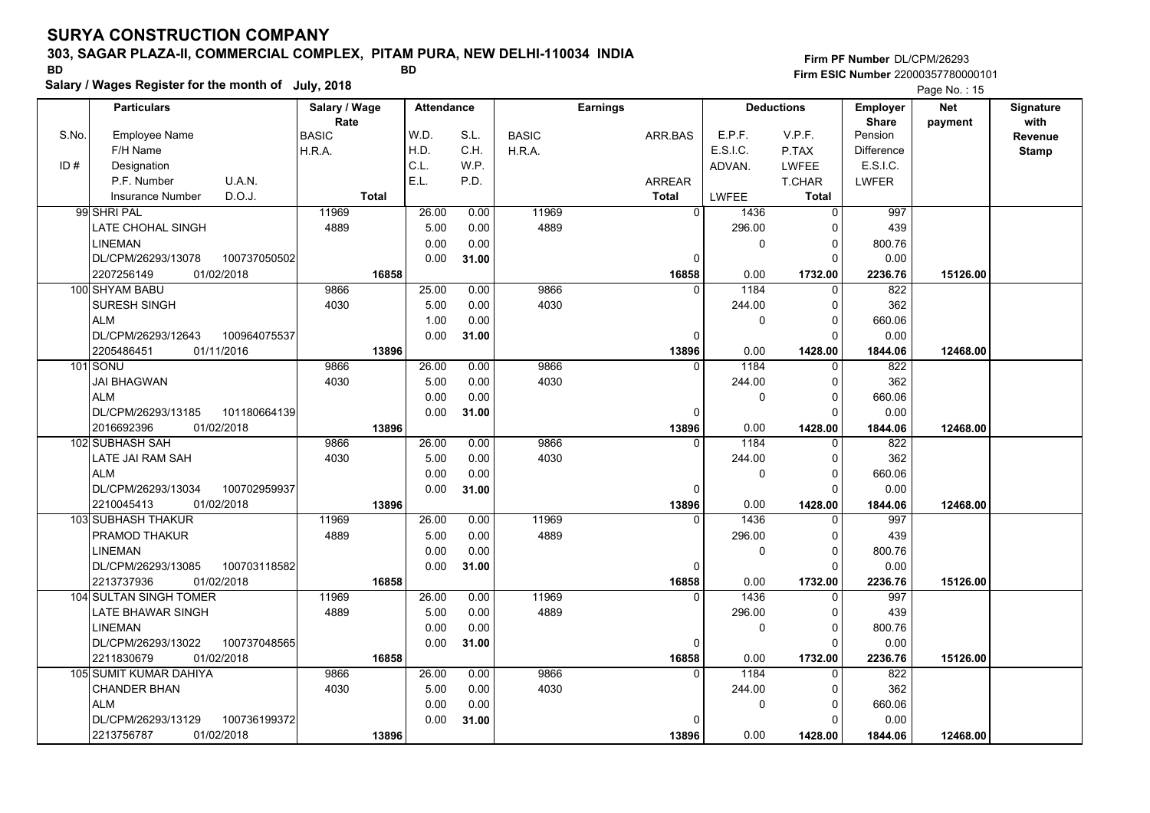## **303, SAGAR PLAZA-II, COMMERCIAL COMPLEX, PITAM PURA, NEW DELHI-110034 INDIA**

**Salary / Wages Register for the month of July, 2018 BD BD**

## **Firm PF Number**DL/CPM/26293**Firm ESIC Number** 22000357780000101

|       | <b>Particulars</b>                 | Salary / Wage        | <b>Attendance</b> |       |              | <b>Earnings</b> | <b>Deductions</b> |              | Employer                | <b>Net</b> | Signature       |
|-------|------------------------------------|----------------------|-------------------|-------|--------------|-----------------|-------------------|--------------|-------------------------|------------|-----------------|
| S.No. | <b>Employee Name</b>               | Rate<br><b>BASIC</b> | W.D.              | S.L.  | <b>BASIC</b> | ARR.BAS         | E.P.F.            | V.P.F.       | <b>Share</b><br>Pension | payment    | with<br>Revenue |
|       | F/H Name                           | H.R.A.               | H.D.              | C.H.  | H.R.A.       |                 | E.S.I.C.          | P.TAX        | <b>Difference</b>       |            | Stamp           |
| ID#   | Designation                        |                      | C.L.              | WP.   |              |                 | ADVAN.            | <b>LWFEE</b> | E.S.I.C.                |            |                 |
|       | U.A.N.<br>P.F. Number              |                      | E.L.              | P.D.  |              | <b>ARREAR</b>   |                   | T.CHAR       | <b>LWFER</b>            |            |                 |
|       | D.O.J.<br><b>Insurance Number</b>  | <b>Total</b>         |                   |       |              | <b>Total</b>    | <b>LWFEE</b>      | <b>Total</b> |                         |            |                 |
|       | 99 SHRI PAL                        | 11969                | 26.00             | 0.00  | 11969        | $\overline{0}$  | 1436              | $\mathbf{0}$ | 997                     |            |                 |
|       | LATE CHOHAL SINGH                  | 4889                 | 5.00              | 0.00  | 4889         |                 | 296.00            | 0            | 439                     |            |                 |
|       | <b>LINEMAN</b>                     |                      | 0.00              | 0.00  |              |                 | 0                 | 0            | 800.76                  |            |                 |
|       | DL/CPM/26293/13078<br>100737050502 |                      | 0.00              | 31.00 |              | $\Omega$        |                   | $\Omega$     | 0.00                    |            |                 |
|       | 2207256149<br>01/02/2018           | 16858                |                   |       |              | 16858           | 0.00              | 1732.00      | 2236.76                 | 15126.00   |                 |
|       | 100 SHYAM BABU                     | 9866                 | 25.00             | 0.00  | 9866         | <sup>0</sup>    | 1184              | $\mathbf 0$  | 822                     |            |                 |
|       | SURESH SINGH                       | 4030                 | 5.00              | 0.00  | 4030         |                 | 244.00            | $\mathbf 0$  | 362                     |            |                 |
|       | <b>ALM</b>                         |                      | 1.00              | 0.00  |              |                 | 0                 | $\Omega$     | 660.06                  |            |                 |
|       | DL/CPM/26293/12643<br>100964075537 |                      | 0.00              | 31.00 |              | $\Omega$        |                   | $\Omega$     | 0.00                    |            |                 |
|       | 2205486451<br>01/11/2016           | 13896                |                   |       |              | 13896           | 0.00              | 1428.00      | 1844.06                 | 12468.00   |                 |
|       | 101 SONU                           | 9866                 | 26.00             | 0.00  | 9866         | $\Omega$        | 1184              | $\mathbf 0$  | 822                     |            |                 |
|       | <b>JAI BHAGWAN</b>                 | 4030                 | 5.00              | 0.00  | 4030         |                 | 244.00            | 0            | 362                     |            |                 |
|       | <b>ALM</b>                         |                      | 0.00              | 0.00  |              |                 | 0                 | $\Omega$     | 660.06                  |            |                 |
|       | DL/CPM/26293/13185<br>101180664139 |                      | 0.00              | 31.00 |              | $\Omega$        |                   | $\Omega$     | 0.00                    |            |                 |
|       | 2016692396<br>01/02/2018           | 13896                |                   |       |              | 13896           | 0.00              | 1428.00      | 1844.06                 | 12468.00   |                 |
|       | 102 SUBHASH SAH                    | 9866                 | 26.00             | 0.00  | 9866         | $\Omega$        | 1184              | 0            | 822                     |            |                 |
|       | LATE JAI RAM SAH                   | 4030                 | 5.00              | 0.00  | 4030         |                 | 244.00            | $\mathbf 0$  | 362                     |            |                 |
|       | <b>ALM</b>                         |                      | 0.00              | 0.00  |              |                 | 0                 | $\Omega$     | 660.06                  |            |                 |
|       | DL/CPM/26293/13034<br>100702959937 |                      | 0.00              | 31.00 |              | $\Omega$        |                   | 0            | 0.00                    |            |                 |
|       | 01/02/2018<br>2210045413           | 13896                |                   |       |              | 13896           | 0.00              | 1428.00      | 1844.06                 | 12468.00   |                 |
|       | 103 SUBHASH THAKUR                 | 11969                | 26.00             | 0.00  | 11969        | $\Omega$        | 1436              | $\Omega$     | 997                     |            |                 |
|       | PRAMOD THAKUR                      | 4889                 | 5.00              | 0.00  | 4889         |                 | 296.00            | $\Omega$     | 439                     |            |                 |
|       | LINEMAN                            |                      | 0.00              | 0.00  |              |                 | 0                 | $\mathbf 0$  | 800.76                  |            |                 |
|       | DL/CPM/26293/13085<br>100703118582 |                      | 0.00              | 31.00 |              | 0               |                   | $\Omega$     | 0.00                    |            |                 |
|       | 2213737936<br>01/02/2018           | 16858                |                   |       |              | 16858           | 0.00              | 1732.00      | 2236.76                 | 15126.00   |                 |
|       | 104 SULTAN SINGH TOMER             | 11969                | 26.00             | 0.00  | 11969        | <sup>0</sup>    | 1436              | 0            | 997                     |            |                 |
|       | LATE BHAWAR SINGH                  | 4889                 | 5.00              | 0.00  | 4889         |                 | 296.00            | $\Omega$     | 439                     |            |                 |
|       | <b>LINEMAN</b>                     |                      | 0.00              | 0.00  |              |                 | 0                 | $\Omega$     | 800.76                  |            |                 |
|       | DL/CPM/26293/13022<br>100737048565 |                      | 0.00              | 31.00 |              | 0               |                   | $\Omega$     | 0.00                    |            |                 |
|       | 2211830679<br>01/02/2018           | 16858                |                   |       |              | 16858           | 0.00              | 1732.00      | 2236.76                 | 15126.00   |                 |
|       | 105 SUMIT KUMAR DAHIYA             | 9866                 | 26.00             | 0.00  | 9866         | 0               | 1184              | 0            | 822                     |            |                 |
|       | <b>CHANDER BHAN</b>                | 4030                 | 5.00              | 0.00  | 4030         |                 | 244.00            | 0            | 362                     |            |                 |
|       | <b>ALM</b>                         |                      | 0.00              | 0.00  |              |                 | 0                 | $\mathbf 0$  | 660.06                  |            |                 |
|       | DL/CPM/26293/13129<br>100736199372 |                      | 0.00              | 31.00 |              | n               |                   | $\Omega$     | 0.00                    |            |                 |
|       | 2213756787<br>01/02/2018           | 13896                |                   |       |              | 13896           | 0.00              | 1428.00      | 1844.06                 | 12468.00   |                 |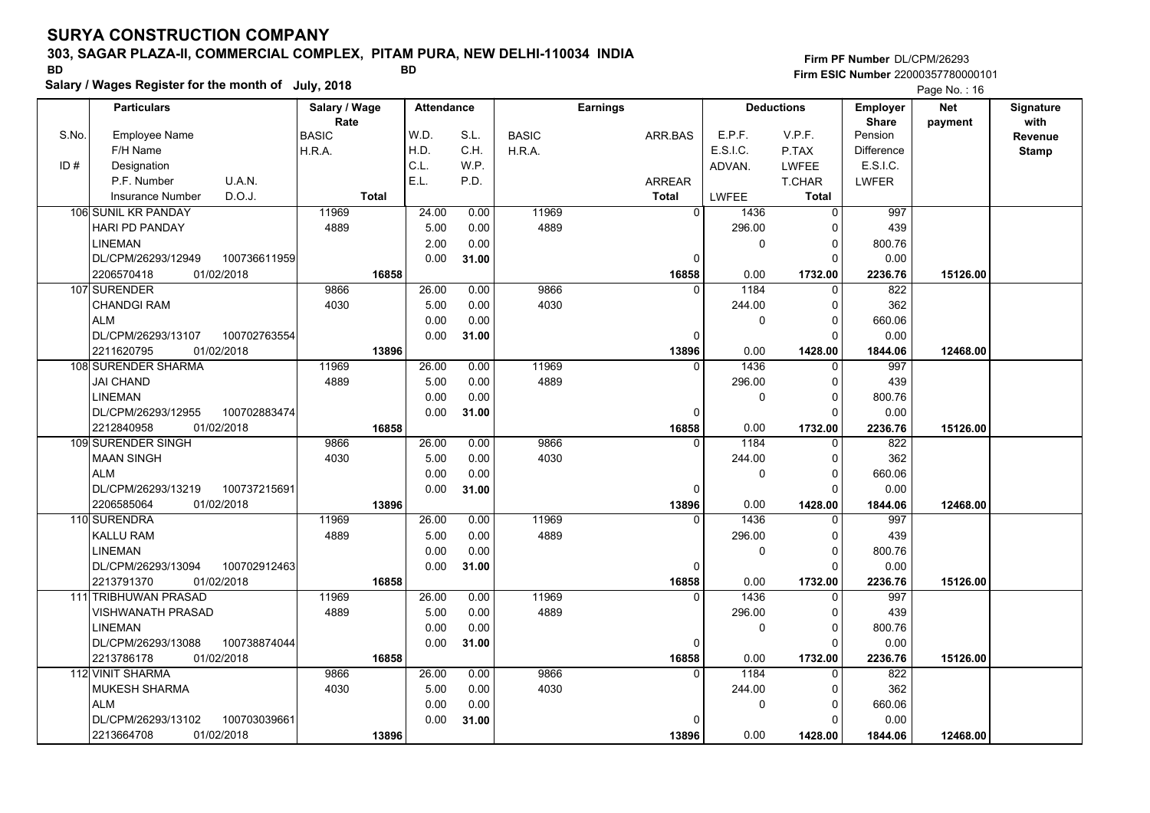### **303, SAGAR PLAZA-II, COMMERCIAL COMPLEX, PITAM PURA, NEW DELHI-110034 INDIA**

**Salary / Wages Register for the month of July, 2018 BD BD**

**Firm PF Number**DL/CPM/26293**Firm ESIC Number** 22000357780000101

|       | <b>Particulars</b>       |              | Salary / Wage        |              | <b>Attendance</b> |       |              | <b>Earnings</b> |                | <b>Deductions</b> |              | <b>Employer</b><br><b>Share</b> | <b>Net</b> | Signature<br>with |
|-------|--------------------------|--------------|----------------------|--------------|-------------------|-------|--------------|-----------------|----------------|-------------------|--------------|---------------------------------|------------|-------------------|
| S.No. | Employee Name            |              | Rate<br><b>BASIC</b> |              | W.D.              | S.L.  | <b>BASIC</b> |                 | ARR.BAS        | E.P.F.            | V.P.F.       | Pension                         | payment    | Revenue           |
|       | F/H Name                 |              | H.R.A.               |              | H.D.              | C.H.  | H.R.A.       |                 |                | E.S.I.C.          | P.TAX        | <b>Difference</b>               |            | <b>Stamp</b>      |
| ID#   | Designation              |              |                      |              | C.L.              | W.P.  |              |                 |                | ADVAN.            | <b>LWFEE</b> | E.S.I.C.                        |            |                   |
|       | P.F. Number              | U.A.N.       |                      |              | E.L.              | P.D.  |              |                 | <b>ARREAR</b>  |                   | T.CHAR       | <b>LWFER</b>                    |            |                   |
|       | <b>Insurance Number</b>  | D.O.J.       |                      | <b>Total</b> |                   |       |              |                 | <b>Total</b>   | LWFEE             | <b>Total</b> |                                 |            |                   |
|       | 106 SUNIL KR PANDAY      |              | 11969                |              | 24.00             | 0.00  | 11969        |                 | $\overline{0}$ | 1436              | $\Omega$     | 997                             |            |                   |
|       | <b>HARI PD PANDAY</b>    |              | 4889                 |              | 5.00              | 0.00  | 4889         |                 |                | 296.00            | $\Omega$     | 439                             |            |                   |
|       | <b>LINEMAN</b>           |              |                      |              | 2.00              | 0.00  |              |                 |                | 0                 | $\Omega$     | 800.76                          |            |                   |
|       | DL/CPM/26293/12949       | 100736611959 |                      |              | 0.00              | 31.00 |              |                 | $\Omega$       |                   | $\Omega$     | 0.00                            |            |                   |
|       | 2206570418<br>01/02/2018 |              |                      | 16858        |                   |       |              |                 | 16858          | 0.00              | 1732.00      | 2236.76                         | 15126.00   |                   |
|       | 107 SURENDER             |              | 9866                 |              | 26.00             | 0.00  | 9866         |                 | $\Omega$       | 1184              | $\Omega$     | 822                             |            |                   |
|       | <b>CHANDGI RAM</b>       |              | 4030                 |              | 5.00              | 0.00  | 4030         |                 |                | 244.00            | $\Omega$     | 362                             |            |                   |
|       | <b>ALM</b>               |              |                      |              | 0.00              | 0.00  |              |                 |                | 0                 | ŋ            | 660.06                          |            |                   |
|       | DL/CPM/26293/13107       | 100702763554 |                      |              | 0.00              | 31.00 |              |                 | 0              |                   | $\Omega$     | 0.00                            |            |                   |
|       | 01/02/2018<br>2211620795 |              |                      | 13896        |                   |       |              |                 | 13896          | 0.00              | 1428.00      | 1844.06                         | 12468.00   |                   |
|       | 108 SURENDER SHARMA      |              | 11969                |              | 26.00             | 0.00  | 11969        |                 | 0              | 1436              | $\Omega$     | 997                             |            |                   |
|       | <b>JAI CHAND</b>         |              | 4889                 |              | 5.00              | 0.00  | 4889         |                 |                | 296.00            | $\Omega$     | 439                             |            |                   |
|       | <b>LINEMAN</b>           |              |                      |              | 0.00              | 0.00  |              |                 |                | 0                 | $\Omega$     | 800.76                          |            |                   |
|       | DL/CPM/26293/12955       | 100702883474 |                      |              | 0.00              | 31.00 |              |                 | $\mathbf 0$    |                   | $\Omega$     | 0.00                            |            |                   |
|       | 2212840958<br>01/02/2018 |              |                      | 16858        |                   |       |              |                 | 16858          | 0.00              | 1732.00      | 2236.76                         | 15126.00   |                   |
|       | 109 SURENDER SINGH       |              | 9866                 |              | 26.00             | 0.00  | 9866         |                 | $\Omega$       | 1184              | $\Omega$     | 822                             |            |                   |
|       | <b>MAAN SINGH</b>        |              | 4030                 |              | 5.00              | 0.00  | 4030         |                 |                | 244.00            | $\Omega$     | 362                             |            |                   |
|       | <b>ALM</b>               |              |                      |              | 0.00              | 0.00  |              |                 |                | 0                 | $\Omega$     | 660.06                          |            |                   |
|       | DL/CPM/26293/13219       | 100737215691 |                      |              | 0.00              | 31.00 |              |                 | 0              |                   | $\Omega$     | 0.00                            |            |                   |
|       | 2206585064<br>01/02/2018 |              |                      | 13896        |                   |       |              |                 | 13896          | 0.00              | 1428.00      | 1844.06                         | 12468.00   |                   |
|       | 110 SURENDRA             |              | 11969                |              | 26.00             | 0.00  | 11969        |                 | $\Omega$       | 1436              | $\Omega$     | 997                             |            |                   |
|       | <b>KALLU RAM</b>         |              | 4889                 |              | 5.00              | 0.00  | 4889         |                 |                | 296.00            | $\Omega$     | 439                             |            |                   |
|       | <b>LINEMAN</b>           |              |                      |              | 0.00              | 0.00  |              |                 |                | 0                 | 0            | 800.76                          |            |                   |
|       | DL/CPM/26293/13094       | 100702912463 |                      |              | 0.00              | 31.00 |              |                 | 0              |                   | $\Omega$     | 0.00                            |            |                   |
|       | 01/02/2018<br>2213791370 |              |                      | 16858        |                   |       |              |                 | 16858          | 0.00              | 1732.00      | 2236.76                         | 15126.00   |                   |
|       | 111 TRIBHUWAN PRASAD     |              | 11969                |              | 26.00             | 0.00  | 11969        |                 | $\Omega$       | 1436              | $\Omega$     | 997                             |            |                   |
|       | VISHWANATH PRASAD        |              | 4889                 |              | 5.00              | 0.00  | 4889         |                 |                | 296.00            | 0            | 439                             |            |                   |
|       | <b>LINEMAN</b>           |              |                      |              | 0.00              | 0.00  |              |                 |                | 0                 | $\Omega$     | 800.76                          |            |                   |
|       | DL/CPM/26293/13088       | 100738874044 |                      |              | 0.00              | 31.00 |              |                 | 0              |                   | $\Omega$     | 0.00                            |            |                   |
|       | 2213786178<br>01/02/2018 |              |                      | 16858        |                   |       |              |                 | 16858          | 0.00              | 1732.00      | 2236.76                         | 15126.00   |                   |
|       | 112 VINIT SHARMA         |              | 9866                 |              | 26.00             | 0.00  | 9866         |                 | $\Omega$       | 1184              | $\Omega$     | 822                             |            |                   |
|       | <b>MUKESH SHARMA</b>     |              | 4030                 |              | 5.00              | 0.00  | 4030         |                 |                | 244.00            | $\Omega$     | 362                             |            |                   |
|       | <b>ALM</b>               |              |                      |              | 0.00              | 0.00  |              |                 |                | 0                 | $\Omega$     | 660.06                          |            |                   |
|       | DL/CPM/26293/13102       | 100703039661 |                      |              | 0.00              | 31.00 |              |                 | $\Omega$       |                   | $\Omega$     | 0.00                            |            |                   |
|       | 2213664708<br>01/02/2018 |              |                      | 13896        |                   |       |              |                 | 13896          | 0.00              | 1428.00      | 1844.06                         | 12468.00   |                   |